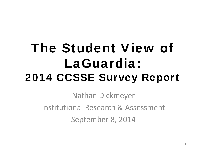# The Student View of LaGuardia: 2014 CCSSE Survey Report

Nathan Dickmeyer Institutional Research& Assessment September 8, 2014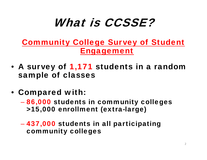## What is CCSSE?

#### Community College Survey of Student Engagement

- A survey of 1,171 students in a random sample of classes
- Compared with:
	- $\mathcal{L}_{\mathcal{A}}$  , where  $\mathcal{L}_{\mathcal{A}}$  is the set of the set of the set of the set of the set of the set of the set of the set of the set of the set of the set of the set of the set of the set of the set of the set of the 86,000 students in community colleges >15,000 enrollment (extra-large)
	- 437,000 students in all participating community colleges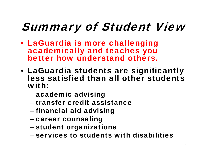# Summary of Student View

- LaGuardia is more challenging academically and teaches you better how understand others.
- LaGuardia students are significantly less satisfied than all other students with:
	- –– academic advising
	- transfer credit assistance
	- –– financial aid advising
	- –– career counseling
	- –– student organizations
	- services to students with disabilities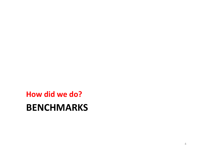### **BENCHMARKS How did we do?**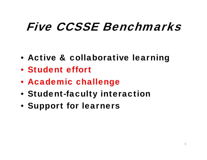## Five CCSSE Benchmarks

- Active & collaborative learning
- Student effort
- Academic challenge
- Student-faculty interaction
- Support for learners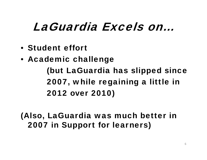## LaGuardia Excels on…

- Student effort
- Academic challenge (but LaGuardia has slipped since 2007, while regaining a little in 2012 over 2010)

(Also, LaGuardia was much better in 2007 in Support for learners)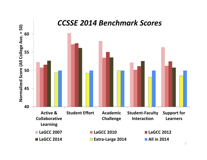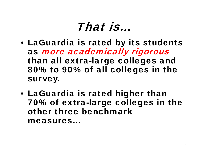## That is…

- LaGuardia is rated by its students as more academically rigorous than all extra-large colleges and 80% to 90% of all colleges in the survey.
- LaGuardia is rated higher than 70% of extra-large colleges in the other three benchmark measures…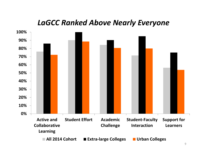#### *LaGCC Ranked Above Nearly Everyone*

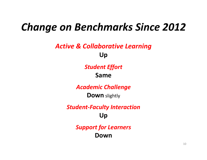### *Change on Benchmarks Since 2012*

#### *Active & Collaborative Learning* **Up**

#### *Student Effort* **Same**

*Academic Challenge*

**Down** slightly

*Student‐Faculty Interaction* **Up**

> *Support for Learners* **Down**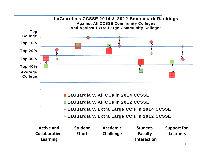

| <b>Active and</b>    | <b>Student</b> | <b>Academic</b>    | Student-       | <b>Support for</b> |
|----------------------|----------------|--------------------|----------------|--------------------|
| <b>Collaborative</b> | <b>Effort</b>  | <b>Challenge</b>   | <b>Faculty</b> | <b>Learners</b>    |
| <b>Learning</b>      |                | <b>Interaction</b> |                |                    |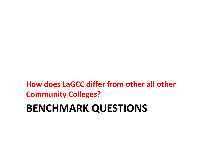### **BENCHMARK QUESTIONS How does LaGCC differ from other all other Community Colleges?**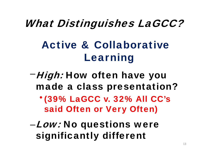### What Distinguishes LaGCC?

## Active & Collaborative Learning

- -High: How often have you made a class presentation?
	- (39% LaGCC v. 32% All CC's said Often or Very Often)
- –Low: No questions were significantly different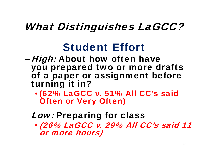### What Distinguishes LaGCC?

### Student Effort

- *High:* About how often have you prepared two or more drafts of a paper or assignment before turning it in?
	- (62% LaGCC v. 51% All CC's said Often or Very Often)
- –Low: Preparing for class
	- (26% LaGCC v. 29% All CC's said 11 or more hours)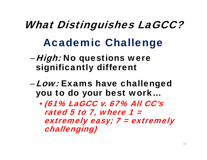# What Distinguishes LaGCC? Academic Challenge

- *High:* No questions were significantly different
- –Low: Exams have challenged you to do your best work…
	- (61% LaGCC v. 67% All CC's rated 5 to 7, where  $1 =$ extremely easy; 7 = extremely challenging)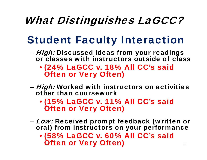## What Distinguishes LaGCC?

## Student Faculty Interaction

- *High:* Discussed ideas from your readings or classes with instructors outside of class
	- (24% LaGCC v. 18% All CC's said Often or Very Often)
- *High:* Worked with instructors on activities other than coursework
	- (15% LaGCC v. 11% All CC's said Often or Very Often)
- Low: Received prompt feedback (written or oral) from instructors on your performance
	- (58% LaGCC v. 60% All CC's said Often or Very Often) 16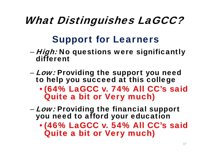## What Distinguishes LaGCC?

### Support for Learners

- –*– High:* No questions were significantly different
- *Low:* Providing the support you need to help you succeed at this college
	- (64% LaGCC v. 74% All CC's said Quite a bit or Very much)
- Low: Providing the financial support you need to afford your education
	- (46% LaGCC v. 54% All CC's said Quite a bit or Very much)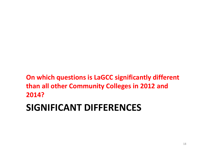#### **On which questions is LaGCC significantly different than all other Community Colleges in 2012 and 2014?**

### **SIGNIFICANT DIFFERENCES**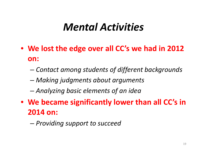### *Mental Activities*

- **We lost the edge over all CC's we had in 2012 on:**
	- –*Contact among students of different backgrounds*
	- –*Making judgments about arguments*
	- –*Analyzing basic elements of an idea*
- **We became significantly lower than all CC's in 2014 on:**
	- –*Providing support to succeed*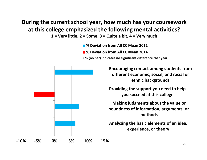#### **During the current school year, how much has your coursework at this college emphasized the following mental activities?**

 $1 = Very$  little,  $2 = Some$ ,  $3 = Quite$  a bit,  $4 = Very$  much

**% Deviation from All CC Mean 2012**

**% Deviation from All CC Mean 2014**

**0% (no bar) indicates no significant difference that year**



**Providing the support you need to help Encouraging contact among students from different economic, social, and racial or ethnic backgrounds**

**you succeed at this college**

**Making judgments about the value or soundness of information, arguments, or methods**

**Analyzing the basic elements of an idea, experience, or theory**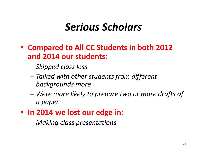### *Serious Scholars*

- **Compared to All CC Students in both 2012 and 2014 our students:**
	- *Skipped class less*
	- – *Talked with other students from different backgrounds more*
	- *Were more likely to prepare two or more drafts of a paper*
- **In 2014 we lost our edge in:**
	- *Making class presentations*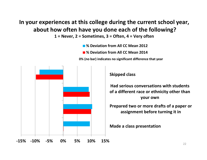#### **In your experiences at this college during the current school year, about how often have you done each of the following?**

 $1 =$  Never, 2 = Sometimes, 3 = Often, 4 = Very often

**% Deviation from All CC Mean 2012**

**% Deviation from All CC Mean 2014**

**0% (no bar) indicates no significant difference that year**

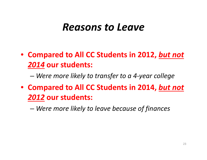#### *Reasons to Leave*

- **Compared to All CC Students in 2012,** *but not 2014* **our students:**
	- –*Were more likely to transfer to <sup>a</sup> 4‐year college*
- **Compared to All CC Students in 2014,** *but not 2012* **our students:**
	- –*Were more likely to leave because of finances*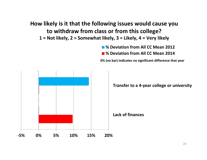#### **How likely is it that the following issues would cause you to withdraw from class or from this college?**

1 = Not likely, 2 = Somewhat likely, 3 = Likely, 4 = Very likely

**% Deviation from All CC Mean 2012**

**% Deviation from All CC Mean 2014**

**0% (no bar) indicates no significant difference that year**

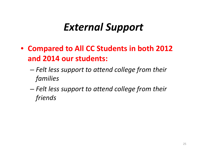### *External Support*

- **Compared to All CC Students in both 2012 and 2014 our students:**
	- – *Felt less support to attend college from their families*
	- – *Felt less support to attend college from their friends*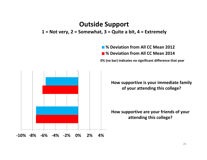#### **Outside Support**

#### $1 = Not very, 2 = Somewhat, 3 = Quite a bit, 4 = Extremely$

**% Deviation from All CC Mean 2012**

**% Deviation from All CC Mean 2014**

**0% (no bar) indicates no significant difference that year**



**How supportive is your immediate family of your attending this college?**

**How supportive are your friends of your attending this college?**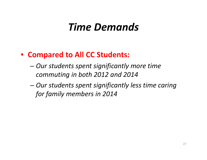### *Time Demands*

#### • **Compared to All CC Students:**

- – *Our students spent significantly more time commuting in both 2012 and 2014*
- – *Our students spent significantly less time caring for family members in 2014*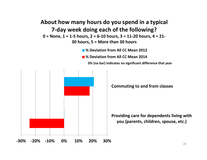#### **About how many hours do you spend in <sup>a</sup> typical 7‐day week doing each of the following?**  $0 =$  None, 1 = 1-5 hours, 2 = 6-10 hours, 3 = 11-20 hours, 4 = 21-**30 hours, 5 <sup>=</sup> More than 30 hours**

- **% Deviation from All CC Mean 2012**
- **% Deviation from All CC Mean 2014**

**0% (no bar) indicates no significant difference that year**



**Commuting to and from classes**

**Providing care for dependents living with you (parents, children, spouse, etc.)**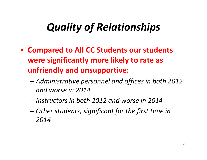## *Quality of Relationships*

- **Compared to All CC Students our students were significantly more likely to rate as unfriendly and unsupportive:**
	- *Administrative personnel and offices in both 2012 and worse in 2014*
	- *Instructors in both 2012 and worse in 2014*
	- – *Other students, significant for the first time in 2014*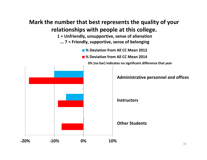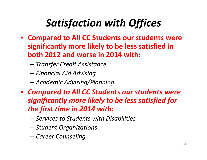## *Satisfaction with Offices*

- **Compared to All CC Students our students were significantly more likely to be less satisfied in both 2012 and worse in 2014 with:**
	- –*Transfer Credit Assistance*
	- –*Financial Aid Advising*
	- –*Academic Advising/Planning*
- *Compared to All CC Students our students were significantly more likely to be less satisfied for the first time in 2014 with:*
	- *Services to Students with Disabilities*
	- –*Student Organizations*
	- –*Career Counseling*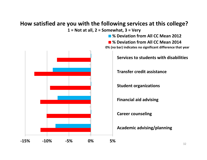#### **How satisfied are you with the following services at this college? 1 <sup>=</sup> Not at all, 2 <sup>=</sup> Somewhat, 3 <sup>=</sup> Very**



**% Deviation from All CC Mean 2012**

**% Deviation from All CC Mean 2014 0% (no bar) indicates no significant difference that year**

**Services to students with disabilities**

**Transfer credit assistance**

**Student organizations**

**Financial aid advising**

**Career counseling**

**Academic advising/planning**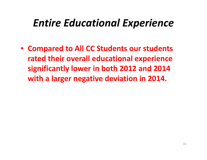### *Entire Educational Experience*

• **Compared to All CC Students our students rated their overall educational experience significantly lower in both 2012 and 2014 with <sup>a</sup> larger negative deviation in 2014.**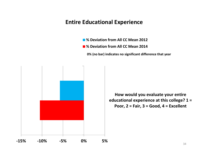#### **Entire Educational Experience**

- **% Deviation from All CC Mean 2012**
- **% Deviation from All CC Mean 2014**

**0% (no bar) indicates no significant difference that year**



**How would you evaluate your entire educational experience at this college? 1 <sup>=</sup> Poor, 2 <sup>=</sup> Fair, 3 <sup>=</sup> Good, 4 <sup>=</sup> Excellent**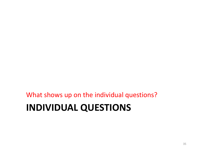### **INDIVIDUAL QUESTIONS** What shows up on the individual questions?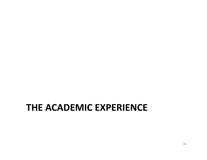#### **THE ACADEMIC EXPERIENCE**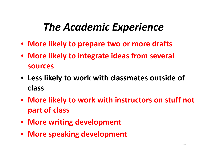## *The Academic Experience*

- **More likely to prepare two or more drafts**
- **More likely to integrate ideas from several sources**
- **Less likely to work with classmates outside of class**
- **More likely to work with instructors on stuff not part of class**
- **More writing development**
- **More speaking development**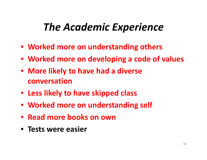#### *The Academic Experience*

- **Worked more on understanding others**
- **Worked more on developing <sup>a</sup> code of values**
- **More likely to have had <sup>a</sup> diverse conversation**
- **Less likely to have skipped class**
- **Worked more on understanding self**
- **Read more books on own**
- **Tests were easier**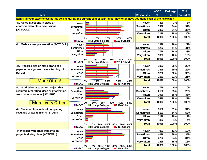|                                           |                                                                                                                                  |                  | <b>LaGCC</b>  | <b>Ex-Large</b> | 2014            |
|-------------------------------------------|----------------------------------------------------------------------------------------------------------------------------------|------------------|---------------|-----------------|-----------------|
| <b>Item</b>                               |                                                                                                                                  | <b>Responses</b> | $\frac{9}{6}$ | %               | <b>Cohort %</b> |
|                                           | Item 4: In your experiences at this college during the current school year, about how often have you done each of the following? |                  |               |                 |                 |
| 4a. Asked questions in class or           | <b>Never</b>                                                                                                                     | <b>Never</b>     | 3%            | 3%              | 3%              |
| contributed to class discussions          | <b>Sometimes</b>                                                                                                                 | <b>Sometimes</b> | 33%           | 34%             | 32%             |
| [ACTCOLL]                                 | Often                                                                                                                            | Often            | 33%           | 34%             | 35%             |
|                                           | Very often                                                                                                                       | Very often       | 31%           | 28%             | 30%             |
|                                           | 10%<br>20%<br>30%<br>40%<br>0%                                                                                                   | <b>Total</b>     | 100%          | 100%            | 100%            |
|                                           | <b>LaGCC</b><br>2014 Cohort<br><b>Ex-Large Colleges</b>                                                                          |                  |               |                 |                 |
| 4b. Made a class presentation [ACTCOLL]   | <b>Never</b>                                                                                                                     | <b>Never</b>     | 19%           | 26%             | 27%             |
|                                           | <b>Sometimes</b>                                                                                                                 | <b>Sometimes</b> | 42%           | 41%             | 41%             |
|                                           | Often                                                                                                                            | Often            | 27%           | 24%             | 23%             |
|                                           | Very often                                                                                                                       | Very often       | 13%           | 10%             | 10%             |
|                                           | 50%<br>10%<br>30%<br>40%<br>0%<br>20%                                                                                            | <b>Total</b>     | 100%          | 100%            | 100%            |
|                                           | <b>LaGCC</b><br><b>Ex-Large Colleges</b><br>2014 Cohort                                                                          |                  |               |                 |                 |
| 4c. Prepared two or more drafts of a      | <b>Never</b>                                                                                                                     | <b>Never</b>     | 10%           | 20%             | 20%             |
| paper or assignment before turning it in  | <b>Sometimes</b>                                                                                                                 | <b>Sometimes</b> | 28%           | 29%             | 29%             |
| [STUEFF]                                  | Often                                                                                                                            | Often            | 37%           | 30%             | 30%             |
|                                           | Very often                                                                                                                       | Very often       | 25%           | 21%             | 21%             |
| <b>More Often!</b>                        | 40%<br>10%<br>20%<br>30%<br>0%                                                                                                   | <b>Total</b>     | 100%          | 100%            | 100%            |
|                                           | <b>LaGCC</b><br>Ex-Large Colleges<br>2014 Cohort                                                                                 |                  |               |                 |                 |
| 4d. Worked on a paper or project that     | <b>Never</b>                                                                                                                     | <b>Never</b>     | 7%            | 9%              | 10%             |
| required integrating ideas or information | <b>Sometimes</b>                                                                                                                 | <b>Sometimes</b> | 21%           | 25%             | 26%             |
| from various sources [STUEFF]             | Often                                                                                                                            | Often            | 39%           | 38%             | 38%             |
|                                           | Very often                                                                                                                       | Very often       | 34%           | 28%             | 27%             |
| <b>More Very Often!</b>                   | 30%<br>40%<br>50%<br>0%<br>10%<br>20%                                                                                            | <b>Total</b>     | 100%          | 100%            | 100%            |
|                                           | <b>LaGCC</b><br><b>Ex-Large Colleges</b><br>2014 Cohort                                                                          |                  |               |                 |                 |
| 4e. Came to class without completing      | <b>Never</b>                                                                                                                     | <b>Never</b>     | 35%           | 31%             | 34%             |
| readings or assignments [STUEFF]          | <b>Sometimes</b>                                                                                                                 | <b>Sometimes</b> | 51%           | 54%             | 53%             |
|                                           | Often                                                                                                                            | Often            | 11%           | 10%             | 9%              |
|                                           | Very often                                                                                                                       | Very often       | 3%            | 4%              | 4%              |
|                                           | 30%<br>50%<br>60%<br>0%<br>10%<br>20%<br>40%                                                                                     | <b>Total</b>     | 100%          | 100%            | 100%            |
|                                           | <b>LaGCC</b><br><b>Ex-Large Colleges</b><br>■2014 Cohort                                                                         |                  |               |                 |                 |
| 4f. Worked with other students on         | <b>Never</b>                                                                                                                     | <b>Never</b>     | 9%            | 12%             | 12%             |
| projects during class [ACTCOLL]           | <b>Sometimes</b>                                                                                                                 | <b>Sometimes</b> | 40%           | 39%             | 38%             |
|                                           | Often                                                                                                                            | Often            | 37%           | 34%             | 34%             |
|                                           | Very often                                                                                                                       | Very often       | 14%           | 15%             | 16%             |
|                                           | 10% 20%<br>50% 60%<br>0%<br>30%<br>40%                                                                                           | <b>Total</b>     | 100%          | 100%            | 100%            |
|                                           | <b>Ex-Large Colleges</b><br><b>LaGCC</b><br>2014 Cohort                                                                          |                  |               |                 |                 |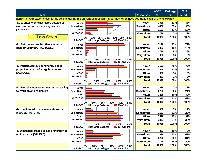|                                            |                                                                                                                                  |                  | <b>LaGCC</b> | <b>Ex-Large</b> | 2014     |
|--------------------------------------------|----------------------------------------------------------------------------------------------------------------------------------|------------------|--------------|-----------------|----------|
| <b>Item</b>                                |                                                                                                                                  | <b>Responses</b> | $\%$         | $\%$            | Cohort % |
|                                            | Item 4: In your experiences at this college during the current school year, about how often have you done each of the following? |                  |              |                 |          |
| 4g. Worked with classmates outside of      | <b>Never</b>                                                                                                                     | <b>Never</b>     | 30%          | 37%             | 37%      |
| class to prepare class assignments         | <b>Sometimes</b>                                                                                                                 | <b>Sometimes</b> | 48%          | 39%             | 38%      |
| [ACTCOLL]                                  | Often                                                                                                                            | Often            | 15%          | 17%             | 17%      |
|                                            | Very often                                                                                                                       | Very often       | 7%           | 7%              | 8%       |
| <b>Less Often!</b>                         | 30%<br>50%<br>20%<br>40%<br>60%<br>0%<br>10%                                                                                     | <b>Total</b>     | 100%         | 100%            | 100%     |
|                                            | <b>LaGCC</b><br><b>Ex-Large Colleges</b><br>2014 Cohort                                                                          |                  |              |                 |          |
| 4h. Tutored or taught other students       | <b>Never</b>                                                                                                                     | <b>Never</b>     | 71%          | 73%             | 72%      |
| (paid or voluntary) [ACTCOLL]              | <b>Sometimes</b>                                                                                                                 | <b>Sometimes</b> | 20%          | 19%             | 19%      |
|                                            | Often                                                                                                                            | Often            | 7%           | 5%              | 6%       |
|                                            | Very often $\Box$                                                                                                                | Very often       | 3%           | 3%              | 3%       |
|                                            | 40%<br>60%<br>80%<br>0%<br>20%                                                                                                   | <b>Total</b>     | 100%         | 100%            | 100%     |
|                                            | <b>LaGCC</b><br><b>Ex-Large Colleges</b><br>2014 Cohort                                                                          |                  |              |                 |          |
| 4i. Participated in a community-based      | <b>Never</b>                                                                                                                     | <b>Never</b>     | 71%          | 76%             | 75%      |
| project as a part of a regular course      | <b>Sometimes</b>                                                                                                                 | <b>Sometimes</b> | 19%          | 17%             | 17%      |
| [ACTCOLL]                                  | Often                                                                                                                            | Often            | 8%           | 5%              | 5%       |
|                                            | Very often $\Box$                                                                                                                | Very often       | 2%           | 2%              | 2%       |
|                                            | 20%<br>40%<br>60%<br>80%<br>0%                                                                                                   | <b>Total</b>     | 100%         | 100%            | 100%     |
|                                            | <b>LaGCC</b><br><b>Ex-Large Colleges</b><br>2014 Cohort                                                                          |                  |              |                 |          |
| 4j. Used the Internet or instant messaging | <b>Never</b>                                                                                                                     | <b>Never</b>     | 6%           | 7%              | 7%       |
| to work on an assignment                   | <b>Sometimes</b>                                                                                                                 | <b>Sometimes</b> | 22%          | 22%             | 21%      |
|                                            | Often                                                                                                                            | Often            | 32%          | 30%             | 30%      |
|                                            | Very often                                                                                                                       | Very often       | 39%          | 41%             | 42%      |
|                                            | 20%<br>50%<br>0%<br>10%<br>30%<br>40%                                                                                            | <b>Total</b>     | 100%         | 100%            | 100%     |
|                                            | <b>LaGCC</b><br>Ex-Large Colleges<br>2014 Cohort                                                                                 |                  |              |                 |          |
| 4k. Used e-mail to communicate with an     | <b>Never</b>                                                                                                                     | <b>Never</b>     | 5%           | 7%              | 7%       |
| instructor [STUFAC]                        | <b>Sometimes</b>                                                                                                                 | <b>Sometimes</b> | 26%          | 31%             | 29%      |
|                                            | Often                                                                                                                            | Often            | 34%          | 32%             | 32%      |
|                                            | Very often                                                                                                                       | Very often       | 34%          | 31%             | 32%      |
|                                            | 0%<br>10%<br>20%<br>30%<br>40%                                                                                                   | <b>Total</b>     | 100%         | 100%            | 100%     |
|                                            | <b>■</b> LaGCC<br><b>Ex-Large Colleges</b><br>■ 2014 Cohort                                                                      |                  |              |                 |          |
| 4I. Discussed grades or assignments with   | <b>Never</b>                                                                                                                     | <b>Never</b>     | 9%           | 10%             | 9%       |
| an instructor [STUFAC]                     | <b>Sometimes</b>                                                                                                                 | <b>Sometimes</b> | 39%          | 42%             | 41%      |
|                                            | Often                                                                                                                            | Often            | 32%          | 30%             | 31%      |
|                                            | Very often                                                                                                                       | Very often       | 21%          | 18%             | 20%      |
|                                            | 0%<br>10%<br>20%<br>30%<br>40%<br>50%                                                                                            | <b>Total</b>     | 100%         | 100%            | 100%     |
|                                            | <b>LaGCC</b><br><b>Ex-Large Colleges</b><br>2014 Cohort                                                                          |                  |              |                 |          |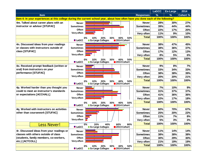|                                           |                                                                                                                                  |                  | <b>LaGCC</b>  | Ex-Large | 2014     |
|-------------------------------------------|----------------------------------------------------------------------------------------------------------------------------------|------------------|---------------|----------|----------|
| <b>Item</b>                               |                                                                                                                                  | <b>Responses</b> | $\frac{9}{6}$ | $\%$     | Cohort % |
|                                           | Item 4: In your experiences at this college during the current school year, about how often have you done each of the following? |                  |               |          |          |
| 4m. Talked about career plans with an     | <b>Never</b>                                                                                                                     | <b>Never</b>     | 28%           | 30%      | 27%      |
| instructor or advisor [STUFAC]            | <b>Sometimes</b>                                                                                                                 | <b>Sometimes</b> | 39%           | 44%      | 44%      |
|                                           | Often                                                                                                                            | Often            | 22%           | 17%      | 20%      |
|                                           | Very often                                                                                                                       | Very often       | 11%           | 9%       | 10%      |
|                                           | 30%<br>50%<br>0%<br>10%<br>20%<br>40%                                                                                            | <b>Total</b>     | 100%          | 100%     | 100%     |
|                                           | <b>LaGCC</b><br><b>Ex-Large Colleges</b><br>2014 Cohort                                                                          |                  |               |          |          |
| 4n. Discussed ideas from your readings    | <b>Never</b>                                                                                                                     | <b>Never</b>     | 38%           | 47%      | 45%      |
| or classes with instructors outside of    | <b>Sometimes</b>                                                                                                                 | <b>Sometimes</b> | 38%           | 36%      | 37%      |
| class [STUFAC]                            | Often                                                                                                                            | Often            | 17%           | 12%      | 13%      |
|                                           | Very often                                                                                                                       | Very often       | 8%            | 5%       | 6%       |
|                                           | 50%<br>20%<br>30%<br>40%<br>0%<br>10%                                                                                            | <b>Total</b>     | 100%          | 100%     | 100%     |
|                                           | <b>LaGCC</b><br><b>Ex-Large Colleges</b><br>2014 Cohort                                                                          |                  |               |          |          |
| 4o. Received prompt feedback (written or  | <b>Never</b>                                                                                                                     | <b>Never</b>     | 9%            | 8%       | 7%       |
| oral) from instructors on your            | <b>Sometimes</b>                                                                                                                 | <b>Sometimes</b> | 33%           | 34%      | 33%      |
| performance [STUFAC]                      | Often                                                                                                                            | Often            | 38%           | 38%      | 39%      |
|                                           | Very often                                                                                                                       | Very often       | 20%           | 20%      | 21%      |
|                                           | 20%<br>30%<br>50%<br>0%<br>10%<br>40%                                                                                            | <b>Total</b>     | 100%          | 100%     | 100%     |
|                                           | <b>LaGCC</b><br><b>Ex-Large Colleges</b><br>2014 Cohort                                                                          |                  |               |          |          |
| 4p. Worked harder than you thought you    | <b>Never</b>                                                                                                                     | <b>Never</b>     | 7%            | 10%      | 9%       |
| could to meet an instructor's standards   | <b>Sometimes</b>                                                                                                                 | <b>Sometimes</b> | 31%           | 37%      | 37%      |
| or expectations [ACCHALL]                 | Often                                                                                                                            | Often            | 41%           | 36%      | 36%      |
|                                           | Very often                                                                                                                       | Very often       | 22%           | 17%      | 18%      |
|                                           | 20%<br>30%<br>40%<br>50%<br>0%<br>10%                                                                                            | <b>Total</b>     | 100%          | 100%     | 100%     |
|                                           | <b>LaGCC</b><br><b>Ex-Large Colleges</b><br>2014 Cohort                                                                          |                  |               |          |          |
| 4q. Worked with instructors on activities | <b>Never</b>                                                                                                                     | <b>Never</b>     | 60%           | 70%      | 67%      |
| other than coursework [STUFAC]            | <b>Sometimes</b>                                                                                                                 | <b>Sometimes</b> | 25%           | 20%      | 22%      |
|                                           | Often                                                                                                                            | Often            | 11%           | 7%       | 8%       |
|                                           | Very often                                                                                                                       | Very often       | 5%            | 3%       | 3%       |
| <u>ess Never!</u>                         | 20%<br>80%<br>0%<br>40%<br>60%                                                                                                   | <b>Total</b>     | 100%          | 100%     | 100%     |
|                                           | <b>■</b> LaGCC<br><b>Ex-Large Colleges</b><br>$\blacksquare$ 2014 Cohort                                                         |                  |               |          |          |
| 4r. Discussed ideas from your readings or | <b>Never</b>                                                                                                                     | <b>Never</b>     | 11%           | 14%      | 14%      |
| classes with others outside of class      | <b>Sometimes</b>                                                                                                                 | <b>Sometimes</b> | 38%           | 38%      | 38%      |
| (students, family members, co-workers,    | Often                                                                                                                            | Often            | 30%           | 29%      | 30%      |
| etc.) [ACTCOLL]                           | Very often                                                                                                                       | Very often       | 21%           | 19%      | 19%      |
|                                           | 40%<br>50%<br>0%<br>30%<br>10%<br>20%                                                                                            | <b>Total</b>     | 100%          | 100%     | 100%     |
|                                           | <b>Ex-Large Colleges</b><br>2014 Cohort<br><b>LaGCC</b>                                                                          |                  |               |          |          |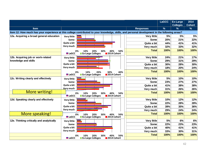|                                           |                                                                                                                                               |     |                    | <b>LaGCC</b>  | <b>Ex-Large</b><br><b>Colleges</b> | 2014<br><b>Cohort</b> |
|-------------------------------------------|-----------------------------------------------------------------------------------------------------------------------------------------------|-----|--------------------|---------------|------------------------------------|-----------------------|
| <b>Item</b>                               |                                                                                                                                               |     | <b>Responses</b>   | $\frac{9}{6}$ | $\%$                               | $\%$                  |
|                                           | Item 12: How much has your experience at this college contributed to your knowledge, skills, and personal development in the following areas? |     |                    |               |                                    |                       |
| 12a. Acquiring a broad general education  | <b>Very little</b>                                                                                                                            |     | Very little        | 5%            | 5%                                 | 5%                    |
|                                           | Some                                                                                                                                          |     | Some               | 20%           | 21%                                | 22%                   |
|                                           | Quite a bit                                                                                                                                   |     | Quite a bit        | 44%           | 41%                                | 41%                   |
|                                           | Very much                                                                                                                                     |     | Very much          | 32%           | 33%                                | 32%                   |
|                                           | 0%<br>20%<br>40%<br>10%<br>30%                                                                                                                | 50% | <b>Total</b>       | 100%          | 100%                               | 100%                  |
|                                           | <b>Ex-Large Colleges</b><br>2014 Cohort<br><b>LaGCC</b>                                                                                       |     |                    |               |                                    |                       |
| 12b. Acquiring job or work-related        | <b>Very little</b>                                                                                                                            |     | <b>Very little</b> | 24%           | 21%                                | 17%                   |
| knowledge and skills                      | Some                                                                                                                                          |     | <b>Some</b>        | 29%           | 31%                                | 29%                   |
|                                           | Quite a bit                                                                                                                                   |     | Quite a bit        | 30%           | 28%                                | 30%                   |
|                                           | Very much                                                                                                                                     |     | Very much          | 18%           | 20%                                | 24%                   |
|                                           | 10%<br>0%<br>20%<br>30%                                                                                                                       | 40% | <b>Total</b>       | 100%          | 100%                               | 100%                  |
|                                           | <b>LaGCC</b><br>2014 Cohort<br><b>Ex-Large Colleges</b>                                                                                       |     |                    |               |                                    |                       |
| 12c. Writing clearly and effectively      | <b>Very little</b>                                                                                                                            |     | Very little        | 5%            | 10%                                | 10%                   |
|                                           | Some                                                                                                                                          |     | Some               | 23%           | 27%                                | 27%                   |
|                                           | Quite a bit                                                                                                                                   |     | Quite a bit        | 41%           | 38%                                | 38%                   |
|                                           | <b>Very much</b>                                                                                                                              |     | Very much          | 31%           | 26%                                | 26%                   |
| <b>More writing!</b>                      | 20%<br>40%<br>0%<br>10%<br>30%                                                                                                                | 50% | <b>Total</b>       | 100%          | 100%                               | 100%                  |
|                                           | <b>Ex-Large Colleges</b><br>2014 Cohort<br><b>LaGCC</b>                                                                                       |     |                    |               |                                    |                       |
| 12d. Speaking clearly and effectively     | <b>Very little</b>                                                                                                                            |     | Very little        | 10%           | 12%                                | 12%                   |
|                                           | Some                                                                                                                                          |     | Some               | 22%           | 28%                                | 28%                   |
|                                           | Quite a bit                                                                                                                                   |     | Quite a bit        | 39%           | 35%                                | 36%                   |
|                                           | Very much                                                                                                                                     |     | Very much          | 29%           | 24%                                | 24%                   |
| <b>More speaking!</b>                     | 10%<br>20%<br>0%<br>30%<br>40%                                                                                                                | 50% | <b>Total</b>       | 100%          | 100%                               | 100%                  |
|                                           | <b>LaGCC</b><br><b>Ex-Large Colleges</b><br>2014 Cohort                                                                                       |     |                    |               |                                    |                       |
| 12e. Thinking critically and analytically | <b>Very little</b>                                                                                                                            |     | <b>Very little</b> | 5%            | 6%                                 | 6%                    |
|                                           | Some                                                                                                                                          |     | Some               | 22%           | 23%                                | 23%                   |
|                                           | Quite a bit                                                                                                                                   |     | Quite a bit        | 40%           | 41%                                | 41%                   |
|                                           | Very much                                                                                                                                     |     | Very much          | 33%           | 30%                                | 31%                   |
|                                           | 10%<br>20%<br>30%<br>40%<br>0%                                                                                                                | 50% | <b>Total</b>       | 100%          | 100%                               | 100%                  |
|                                           | <b>LaGCC</b><br><b>Ex-Large Colleges</b><br>2014 Cohort                                                                                       |     |                    |               |                                    |                       |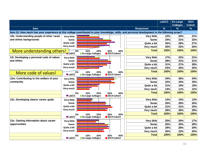|                                                                                                                                               |                    |                          |             |                    | <b>LaGCC</b> | <b>Ex-Large</b><br><b>Colleges</b> | 2014<br><b>Cohort</b> |
|-----------------------------------------------------------------------------------------------------------------------------------------------|--------------------|--------------------------|-------------|--------------------|--------------|------------------------------------|-----------------------|
| <b>Item</b>                                                                                                                                   |                    |                          |             | <b>Responses</b>   | $\%$         | $\%$                               | $\frac{9}{6}$         |
| Item 12: How much has your experience at this college contributed to your knowledge, skills, and personal development in the following areas? |                    |                          |             |                    |              |                                    |                       |
| 12k. Understanding people of other racial                                                                                                     | <b>Very little</b> |                          |             | Very little        | 12%          | 20%                                | 21%                   |
| and ethnic backgrounds                                                                                                                        | Some               |                          |             | <b>Some</b>        | 24%          | 31%                                | 32%                   |
|                                                                                                                                               | Quite a bit        |                          |             | Quite a bit        | 35%          | 28%                                | 27%                   |
|                                                                                                                                               | Very much          |                          |             | Very much          | 30%          | 22%                                | 20%                   |
| More understanding others!                                                                                                                    | $0\%$              | 10%<br>20%               | 30%<br>40%  | <b>Total</b>       | 100%         | 100%                               | 100%                  |
|                                                                                                                                               | <b>ELaGCC</b>      | <b>Ex-Large Colleges</b> | 2014 Cohort |                    |              |                                    |                       |
| 12I. Developing a personal code of values                                                                                                     | <b>Very little</b> |                          |             | Very little        | 17%          | 22%                                | 21%                   |
| and ethics                                                                                                                                    | Some               |                          |             | <b>Some</b>        | 28%          | 31%                                | 31%                   |
|                                                                                                                                               | Quite a bit        |                          |             | Quite a bit        | 31%          | 27%                                | 28%                   |
|                                                                                                                                               | Very much          |                          |             | Very much          | 24%          | 20%                                | 20%                   |
| <b>More code of values!</b>                                                                                                                   | 0%                 | 10%<br>20%               | 40%<br>30%  | <b>Total</b>       | 100%         | 100%                               | 100%                  |
|                                                                                                                                               | <b>LaGCC</b>       | <b>Ex-Large Colleges</b> | 2014 Cohort |                    |              |                                    |                       |
| 12m. Contributing to the welfare of your                                                                                                      | <b>Very little</b> |                          |             | Very little        | 34%          | 36%                                | 34%                   |
| community                                                                                                                                     | Some               |                          |             | Some               | 32%          | 34%                                | 35%                   |
|                                                                                                                                               | Quite a bit        |                          |             | Quite a bit        | 21%          | 19%                                | 19%                   |
|                                                                                                                                               | Very much          |                          |             | Very much          | 14%          | 11%                                | 12%                   |
|                                                                                                                                               | 0%                 | 10%<br>20%               | 30%<br>40%  | <b>Total</b>       | 100%         | 100%                               | 100%                  |
|                                                                                                                                               | <b>LaGCC</b>       | <b>Ex-Large Colleges</b> | 2014 Cohort |                    |              |                                    |                       |
| 12n. Developing clearer career goals                                                                                                          | <b>Very little</b> |                          |             | Very little        | 14%          | 15%                                | 13%                   |
|                                                                                                                                               | Some               |                          |             | Some               | 26%          | 28%                                | 26%                   |
|                                                                                                                                               | Quite a bit        |                          |             | Quite a bit        | 31%          | 31%                                | 33%                   |
|                                                                                                                                               | Very much          |                          |             | Very much          | 28%          | 26%                                | 28%                   |
|                                                                                                                                               | 0%                 | 10%<br>20%               | 30%<br>40%  | <b>Total</b>       | 100%         | 100%                               | 100%                  |
|                                                                                                                                               | <b>LaGCC</b>       | <b>Ex-Large Colleges</b> | 2014 Cohort |                    |              |                                    |                       |
| 12o. Gaining information about career                                                                                                         | <b>Very little</b> |                          |             | <b>Very little</b> | 20%          | 20%                                | 17%                   |
| opportunities                                                                                                                                 | Some               |                          |             | Some               | 26%          | 30%                                | 28%                   |
|                                                                                                                                               | Quite a bit        |                          |             | Quite a bit        | 29%          | 28%                                | 29%                   |
|                                                                                                                                               | Very much          |                          |             | Very much          | 25%          | 23%                                | 25%                   |
|                                                                                                                                               | 0%                 | 10%<br>20%               | 30%<br>40%  | <b>Total</b>       | 100%         | 100%                               | 100%                  |
|                                                                                                                                               | <b>LaGCC</b>       | <b>Ex-Large Colleges</b> | 2014 Cohort |                    |              |                                    |                       |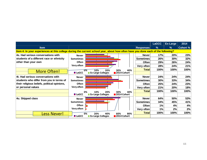|                                              |                                                                                                                                  |                  | <b>LaGCC</b> | <b>Ex-Large</b> | 2014            |
|----------------------------------------------|----------------------------------------------------------------------------------------------------------------------------------|------------------|--------------|-----------------|-----------------|
| <b>Item</b>                                  |                                                                                                                                  | <b>Responses</b> | %            | %               | <b>Cohort %</b> |
|                                              | Item 4: In your experiences at this college during the current school year, about how often have you done each of the following? |                  |              |                 |                 |
| 4s. Had serious conversations with           | <b>Never</b>                                                                                                                     | <b>Never</b>     | 17%          | 20%             | 23%             |
| students of a different race or ethnicity    | <b>Sometimes</b>                                                                                                                 | <b>Sometimes</b> | 26%          | 30%             | 32%             |
| other than your own                          | <b>Often</b>                                                                                                                     | Often            | 29%          | 26%             | 24%             |
|                                              | Very often                                                                                                                       | Very often       | 28%          | 24%             | 21%             |
| <b>More Often!</b>                           | $0\%$<br>30%<br>40%<br>10%<br>20%                                                                                                | <b>Total</b>     | 100%         | 100%            | 100%            |
|                                              | <b>LaGCC</b><br><b>Ex-Large Colleges</b><br>2014 Cohort                                                                          |                  |              |                 |                 |
| 4t. Had serious conversations with           | <b>Never</b>                                                                                                                     | <b>Never</b>     | 24%          | 24%             | 24%             |
| students who differ from you in terms of     | <b>Sometimes</b>                                                                                                                 | <b>Sometimes</b> | 30%          | 33%             | 34%             |
| their religious beliefs, political opinions, | Often                                                                                                                            | <b>Often</b>     | 25%          | 24%             | 23%             |
| or personal values                           | Very often                                                                                                                       | Very often       | 21%          | 20%             | 18%             |
|                                              | 40%<br>10%<br>30%<br>0%<br>20%                                                                                                   | <b>Total</b>     | 100%         | 100%            | 100%            |
|                                              | <b>LaGCC</b><br><b>Ex-Large Colleges</b><br>2014 Cohort                                                                          |                  |              |                 |                 |
| 4u. Skipped class                            | <b>Never</b>                                                                                                                     | <b>Never</b>     | 64%          | 50%             | 53%             |
|                                              | <b>Sometimes</b>                                                                                                                 | <b>Sometimes</b> | 34%          | 45%             | 41%             |
|                                              | Often                                                                                                                            | Often            | $1\%$        | 4%              | 4%              |
|                                              | Very often $\vert$                                                                                                               | Very often       | 1%           | 2%              | 2%              |
| <b>Less Never!</b>                           | 80%<br>20%<br>60%<br>0%<br>40%                                                                                                   | <b>Total</b>     | 100%         | 100%            | 100%            |
|                                              | <b>Ex-Large Colleges</b><br>2014 Cohort<br>$\blacksquare$ LaGCC                                                                  |                  |              |                 |                 |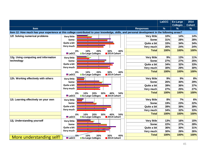|                                       |                                                                                                                                               |                    | <b>LaGCC</b> | <b>Ex-Large</b><br><b>Colleges</b> | 2014<br><b>Cohort</b> |
|---------------------------------------|-----------------------------------------------------------------------------------------------------------------------------------------------|--------------------|--------------|------------------------------------|-----------------------|
| <b>Item</b>                           |                                                                                                                                               | <b>Responses</b>   | $\%$         | $\%$                               | $\%$                  |
|                                       | Item 12: How much has your experience at this college contributed to your knowledge, skills, and personal development in the following areas? |                    |              |                                    |                       |
| 12f. Solving numerical problems       | <b>Very little</b>                                                                                                                            | Very little        | 10%          | 14%                                | 14%                   |
|                                       | Some                                                                                                                                          | Some               | 31%          | 28%                                | 28%                   |
|                                       | Quite a bit                                                                                                                                   | Quite a bit        | 33%          | 34%                                | 34%                   |
|                                       | Very much                                                                                                                                     | Very much          | 26%          | 24%                                | 24%                   |
|                                       | 40%<br>0%<br>20%<br>30%<br>10%                                                                                                                | <b>Total</b>       | 100%         | 100%                               | 100%                  |
|                                       | <b>LaGCC</b><br><b>Ex-Large Colleges</b><br>2014 Cohort                                                                                       |                    |              |                                    |                       |
| 12g. Using computing and information  | <b>Very little</b>                                                                                                                            | <b>Very little</b> | 9%           | 13%                                | 11%                   |
| technology                            | Some                                                                                                                                          | <b>Some</b>        | 27%          | 27%                                | 25%                   |
|                                       | Quite a bit                                                                                                                                   | Quite a bit        | 34%          | 32%                                | 33%                   |
|                                       | Very much                                                                                                                                     | Very much          | 30%          | 29%                                | 30%                   |
|                                       | 40%<br>0%<br>10%<br>20%<br>30%                                                                                                                | <b>Total</b>       | 100%         | 100%                               | 100%                  |
|                                       | <b>LaGCC</b><br><b>Ex-Large Colleges</b><br>2014 Cohort                                                                                       |                    |              |                                    |                       |
| 12h. Working effectively with others  | <b>Very little</b>                                                                                                                            | Very little        | 9%           | 9%                                 | 8%                    |
|                                       | Some                                                                                                                                          | <b>Some</b>        | 26%          | 30%                                | 29%                   |
|                                       | Quite a bit                                                                                                                                   | Quite a bit        | 39%          | 36%                                | 37%                   |
|                                       | Very much                                                                                                                                     | Very much          | 27%          | 25%                                | 27%                   |
|                                       | 0%<br>10%<br>20%<br>30%<br>40%<br>50%                                                                                                         | <b>Total</b>       | 100%         | 100%                               | 100%                  |
|                                       | <b>LaGCC</b><br><b>Ex-Large Colleges</b><br>2014 Cohort                                                                                       |                    |              |                                    |                       |
| 12i. Learning effectively on your own | <b>Very little</b>                                                                                                                            | <b>Very little</b> | 8%           | 7%                                 | 6%                    |
|                                       | Some                                                                                                                                          | Some               | 19%          | 23%                                | 22%                   |
|                                       | Quite a bit                                                                                                                                   | Quite a bit        | 39%          | 39%                                | 39%                   |
|                                       | Very much                                                                                                                                     | Very much          | 34%          | 32%                                | 33%                   |
|                                       | 10%<br>20%<br>50%<br>0%<br>30%<br>40%                                                                                                         | <b>Total</b>       | 100%         | 100%                               | 100%                  |
|                                       | <b>LaGCC</b><br>2014 Cohort<br><b>Ex-Large Colleges</b>                                                                                       |                    |              |                                    |                       |
| 12j. Understanding yourself           | <b>Very little</b>                                                                                                                            | <b>Very little</b> | 13%          | 16%                                | 15%                   |
|                                       | Some                                                                                                                                          | <b>Some</b>        | 22%          | 27%                                | 28%                   |
|                                       | Quite a bit                                                                                                                                   | Quite a bit        | 36%          | 30%                                | 31%                   |
|                                       | Very much                                                                                                                                     | Very much          | 30%          | 26%                                | 26%                   |
| More understanding self!              | 20%<br>30%<br>40%<br>10%<br><b>LaGCC</b><br>2014 Cohort<br><b>Ex-Large Colleges</b>                                                           | <b>Total</b>       | 100%         | 100%                               | 100%                  |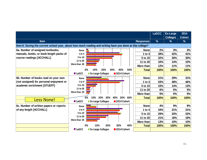|                                                                                                           |              |           |                          |             |     |                  | LaGCC         | Ex-Large<br><b>Colleges</b> | 2014<br><b>Cohort</b> |
|-----------------------------------------------------------------------------------------------------------|--------------|-----------|--------------------------|-------------|-----|------------------|---------------|-----------------------------|-----------------------|
| <b>Item</b>                                                                                               |              |           |                          |             |     | <b>Responses</b> | $\frac{9}{6}$ | $\%$                        | $\frac{9}{6}$         |
| Item 6: During the current school year, about how much reading and writing have you done at this college? |              |           |                          |             |     |                  |               |                             |                       |
| 6a. Number of assigned textbooks,                                                                         | <b>None</b>  |           |                          |             |     | <b>None</b>      | 2%            | 3%                          | 3%                    |
| manuals, books, or book-length packs of                                                                   | 1 to 4       |           |                          |             |     | 1 to $4$         | 39%           | 42%                         | 41%                   |
| course readings [ACCHALL]                                                                                 | 5 to 10      |           |                          |             |     | 5 to 10          | 32%           | 30%                         | 30%                   |
|                                                                                                           | 11 to 20     |           |                          |             |     | 11 to 20         | 16%           | 14%                         | 15%                   |
|                                                                                                           | More than 20 |           |                          |             |     | More than        | 12%           | 11%                         | 11%                   |
|                                                                                                           |              | 0%<br>10% | 20%                      | 40%<br>30%  | 50% | <b>Total</b>     | 100%          | 100%                        | 100%                  |
|                                                                                                           | <b>LaGCC</b> |           | <b>Ex-Large Colleges</b> | 2014 Cohort |     |                  |               |                             |                       |
| 6b. Number of books read on your own                                                                      | <b>None</b>  |           |                          |             |     | <b>None</b>      | 21%           | 29%                         | 31%                   |
| (not assigned) for personal enjoyment or                                                                  | 1 to 4       |           |                          |             |     | 1 to $4$         | 53%           | 48%                         | 46%                   |
| academic enrichment [STUEFF]                                                                              | 5 to 10      |           |                          |             |     | 5 to 10          | 15%           | 14%                         | 13%                   |
|                                                                                                           | 11 to 20     |           |                          |             |     | 11 to 20         | 6%            | 5%                          | 5%                    |
|                                                                                                           | More than 20 |           |                          |             |     | More than        | 5%            | 5%                          | 5%                    |
| <b>Less None!</b>                                                                                         |              | 10%<br>0% | 20%<br>30%               | 40%<br>50%  | 60% | <b>Total</b>     | 100%          | 100%                        | 100%                  |
|                                                                                                           | <b>LaGCC</b> |           | <b>Ex-Large Colleges</b> | 2014 Cohort |     |                  |               |                             |                       |
| 6c. Number of written papers or reports                                                                   | <b>None</b>  |           |                          |             |     | <b>None</b>      | 4%            | 9%                          | 9%                    |
| of any length [ACCHALL]                                                                                   | 1 to 4       |           |                          |             |     | 1 to $4$         | 34%           | 31%                         | 31%                   |
|                                                                                                           | 5 to 10      |           |                          |             |     | 5 to 10          | 29%           | 33%                         | 32%                   |
|                                                                                                           | 11 to 20     |           |                          |             |     | 11 to 20         | 21%           | 18%                         | 18%                   |
|                                                                                                           | More than 20 |           |                          |             |     | More than        | 13%           | 10%                         | 10%                   |
|                                                                                                           |              | 0%<br>10% | 20%                      | 30%         | 40% | <b>Total</b>     | 100%          | 100%                        | 100%                  |
|                                                                                                           | <b>LaGCC</b> |           | <b>Ex-Large Colleges</b> | 2014 Cohort |     |                  |               |                             |                       |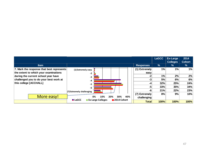|                                           |                                                         |                  | <b>LaGCC</b>  | Ex-Large<br><b>Colleges</b> | 2014<br><b>Cohort</b> |
|-------------------------------------------|---------------------------------------------------------|------------------|---------------|-----------------------------|-----------------------|
| <b>Item</b>                               |                                                         | <b>Responses</b> | $\frac{9}{6}$ | $\frac{9}{6}$               | $\frac{9}{6}$         |
| 7. Mark the response that best represents | (1) Extremely easy                                      | $(1)$ Extremely  | 1%            | 1%                          | 1%                    |
| the extent to which your examinations     | -2                                                      | easy             |               |                             |                       |
| during the current school year have       | -3                                                      | -2               | 1%            | 2%                          | 2%                    |
| challenged you to do your best work at    | -4                                                      | -3               | 5%            | 6%                          | 6%                    |
| this college [ACCHALL]                    | -5                                                      | -4               | 32%           | 25%                         | 24%                   |
|                                           | -6                                                      | -5               | 33%           | 35%                         | 34%                   |
|                                           | $(7)$ Extremely challenging                             | -6               | 21%           | 22%                         | 23%                   |
|                                           | <b>THE REAL PROPERTY</b>                                | $(7)$ Extremely  | 8%            | 9%                          | 10%                   |
| More easy!                                | 30%<br>40%<br>0%<br>10%<br>20%                          | challenging      |               |                             |                       |
|                                           | <b>LaGCC</b><br>2014 Cohort<br><b>Ex-Large Colleges</b> | <b>Total</b>     | 100%          | 100%                        | 100%                  |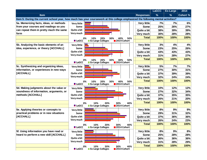|                                         |                                                                                                                                  | <b>LaGCC</b> | Ex-Large | 2014            |
|-----------------------------------------|----------------------------------------------------------------------------------------------------------------------------------|--------------|----------|-----------------|
| <b>Item</b>                             | <b>Responses</b>                                                                                                                 | %            | %        | <b>Cohort %</b> |
|                                         | Item 5: During the current school year, how much has your coursework at this college emphasized the following mental activities? |              |          |                 |
| 5a. Memorizing facts, ideas, or methods | <b>Very little</b><br><b>Very little</b>                                                                                         | 7%           | 7%       | 6%              |
| from your courses and readings so you   | Some<br>Some                                                                                                                     | 25%          | 26%      | 27%             |
| can repeat them in pretty much the same | Quite a bit<br>Quite a bit                                                                                                       | 38%          | 39%      | 39%             |
| form                                    | Very much<br>Very much                                                                                                           | 30%          | 28%      | 28%             |
|                                         | <b>Total</b><br>0%<br>10%<br>20%<br>50%<br>30%<br>40%                                                                            | 100%         | 100%     | 100%            |
|                                         | <b>LaGCC</b><br><b>Ex-Large Colleges</b><br>2014 Cohort                                                                          |              |          |                 |
| 5b. Analyzing the basic elements of an  | <b>Very little</b><br><b>Very little</b>                                                                                         | 3%           | 4%       | 4%              |
| idea, experience, or theory [ACCHALL]   | Some<br>Some                                                                                                                     | 23%          | 25%      | 26%             |
|                                         | Quite a bit<br>Quite a bit                                                                                                       | 43%          | 43%      | 43%             |
|                                         | Very much<br>Very much                                                                                                           | 31%          | 28%      | 27%             |
|                                         | <b>Total</b><br>50%<br>0%<br>10%<br>20%<br>30%<br>40%                                                                            | 100%         | 100%     | 100%            |
|                                         | <b>LaGCC</b><br><b>Ex-Large Colleges</b><br>2014 Cohort                                                                          |              |          |                 |
| 5c. Synthesizing and organizing ideas,  | <b>Very little</b><br><b>Very little</b>                                                                                         | 5%           | 7%       | 7%              |
| information, or experiences in new ways | Some<br>Some                                                                                                                     | 27%          | 30%      | 31%             |
| [ACCHALL]                               | Quite a bit<br>Quite a bit                                                                                                       | 37%          | 39%      | 39%             |
|                                         | Very much<br>Very much                                                                                                           | 32%          | 24%      | 24%             |
|                                         | <b>Total</b><br>0%<br>10%<br>20%<br>30%<br>40%<br>50%                                                                            | 100%         | 100%     | 100%            |
|                                         | <b>LaGCC</b><br><b>Ex-Large Colleges</b><br>2014 Cohort                                                                          |              |          |                 |
| 5d. Making judgments about the value or | <b>Very little</b><br><b>Very little</b>                                                                                         | 10%          | 12%      | 12%             |
| soundness of information, arguments, or | Some<br>Some                                                                                                                     | 27%          | 32%      | 34%             |
| methods [ACCHALL]                       | Quite a bit<br>Quite a bit                                                                                                       | 37%          | 35%      | 35%             |
|                                         | Very much<br>Very much                                                                                                           | 26%          | 21%      | 20%             |
|                                         | <b>Total</b><br>10%<br>20%<br>30%<br>40%<br>0%                                                                                   | 100%         | 100%     | 100%            |
|                                         | <b>LaGCC</b><br><b>Ex-Large Colleges</b><br>2014 Cohort                                                                          |              |          |                 |
| 5e. Applying theories or concepts to    | <b>Very little</b><br><b>Very little</b>                                                                                         | 8%           | 9%       | 9%              |
| practical problems or in new situations | Some<br>Some                                                                                                                     | 29%          | 31%      | 32%             |
| [ACCHALL]                               | Quite a bit<br>Quite a bit                                                                                                       | 37%          | 36%      | 36%             |
|                                         | Very much<br>Very much                                                                                                           | 26%          | 24%      | 23%             |
|                                         | <b>Total</b><br>0%<br>10%<br>20%<br>30%<br>40%                                                                                   | 100%         | 100%     | 100%            |
|                                         | <b>LaGCC</b><br><b>Ex-Large Colleges</b><br>2014 Cohort                                                                          |              |          |                 |
| 5f. Using information you have read or  | <b>Very little</b><br><b>Very little</b>                                                                                         | 8%           | 9%       | 8%              |
| heard to perform a new skill [ACCHALL]  | Some<br>Some                                                                                                                     | 25%          | 28%      | 28%             |
|                                         | Quite a bit<br>Quite a bit                                                                                                       | 36%          | 36%      | 36%             |
|                                         | Very much<br>Very much                                                                                                           | 31%          | 28%      | 29%             |
|                                         | <b>Total</b><br>0%<br>10%<br>20%<br>30%<br>40%<br><b>LaGCC</b><br><b>Ex-Large Colleges</b><br>2014 Cohort                        | 100%         | 100%     | 100%            |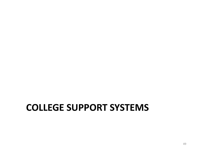#### **COLLEGE SUPPORT SYSTEMS**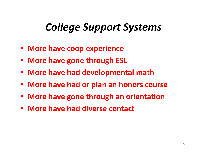## *College Support Systems*

- **More have coop experience**
- $\bullet$ **More have gone through ESL**
- **More have had developmental math**
- **More have had or plan an honors course**
- **More have gone through an orientation**
- **More have had diverse contact**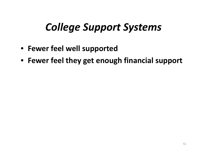## *College Support Systems*

- **Fewer feel well supported**
- **Fewer feel they get enough financial support**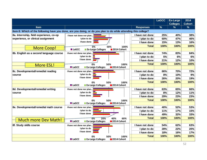|                                         |                                                                                                                 |                  | <b>LaGCC</b>  | <b>Ex-Large</b><br><b>Colleges</b> | 2014<br><b>Cohort</b> |
|-----------------------------------------|-----------------------------------------------------------------------------------------------------------------|------------------|---------------|------------------------------------|-----------------------|
| <b>Item</b>                             |                                                                                                                 | <b>Responses</b> | $\frac{9}{6}$ | $\frac{9}{6}$                      | $\frac{9}{6}$         |
|                                         | Item 8: Which of the following have you done, are you doing, or do you plan to do while attending this college? |                  |               |                                    |                       |
| 8a. Internship, field experience, co-op | I have not done nor plan                                                                                        | I have not done  | 25%           | 40%                                | 38%                   |
| experience, or clinical assignment      | I plan to do                                                                                                    | I plan to do     | 60%           | 47%                                | 46%                   |
|                                         | I have done                                                                                                     | I have done      | 15%           | 13%                                | 16%                   |
|                                         | 0%<br>50%<br>100%                                                                                               | <b>Total</b>     | 100%          | 100%                               | 100%                  |
| : More Coop!                            | <b>Ex-Large Colleges</b><br>2014 Cohort<br><b>LaGCC</b>                                                         |                  |               |                                    |                       |
| 8b. English as a second language course | I have not done nor plan                                                                                        | I have not done  | <b>74%</b>    | 83%                                | 84%                   |
|                                         | I plan to do $\Box$                                                                                             | I plan to do     | 5%            | 6%                                 | 6%                    |
|                                         | I have done $\Box$                                                                                              | I have done      | 21%           | 12%                                | 10%                   |
| <b>More ESL!</b>                        | 0%<br>50%<br>100%                                                                                               | <b>Total</b>     | 100%          | 100%                               | 100%                  |
|                                         | <b>LaGCC</b><br>Ex-Large Colleges<br>2014 Cohort                                                                |                  |               |                                    |                       |
| 8c. Developmental/remedial reading      | I have not done nor plan                                                                                        | I have not done  | 66%           | 70%                                | 72%                   |
| course                                  | I plan to do $\Box$                                                                                             | I plan to do     | 8%            | 10%                                | 9%                    |
|                                         | I have done                                                                                                     | I have done      | 26%           | 20%                                | 19%                   |
|                                         | 50%<br>100%<br>0%                                                                                               | <b>Total</b>     | 100%          | 100%                               | 100%                  |
|                                         | 2014 Cohort<br><b>LaGCC</b><br><b>Ex-Large Colleges</b>                                                         |                  |               |                                    |                       |
| 8d. Developmental/remedial writing      | I have not done nor plan                                                                                        | I have not done  | 63%           | 65%                                | 66%                   |
| course                                  | I plan to do $\ $                                                                                               | I plan to do     | 8%            | 12%                                | 11%                   |
|                                         | I have done                                                                                                     | I have done      | 29%           | 23%                                | 23%                   |
|                                         | 50%<br>100%<br>0%                                                                                               | <b>Total</b>     | 100%          | 100%                               | 100%                  |
|                                         | <b>LaGCC</b><br><b>Ex-Large Colleges</b><br>2014 Cohort                                                         |                  |               |                                    |                       |
| 8e. Developmental/remedial math course  | I have not done nor plan                                                                                        | I have not done  | 40%           | 52%                                | 53%                   |
|                                         | I plan to do                                                                                                    | I plan to do     | 11%           | 17%                                | 15%                   |
|                                         | I have done                                                                                                     | I have done      | 49%           | 32%                                | 33%                   |
| <b>Much more Dev Math!</b>              | 0%<br>40%<br>20%<br>60%                                                                                         | <b>Total</b>     | 100%          | 100%                               | 100%                  |
|                                         | <b>Ex-Large Colleges</b><br>2014 Cohort<br><b>■ LaGCC</b>                                                       |                  |               |                                    |                       |
| 8f. Study skills course                 | I have not done nor plan                                                                                        | I have not done  | 54%           | 62%                                | 63%                   |
|                                         | I plan to do                                                                                                    | I plan to do     | 28%           | 22%                                | 20%                   |
|                                         | I have done                                                                                                     | I have done      | 18%           | 16%                                | 17%                   |
|                                         | 0%<br>50%<br>100%                                                                                               | <b>Total</b>     | 100%          | 100%                               | 100%                  |
|                                         | <b>LaGCC</b><br>2014 Cohort<br><b>Ex-Large Colleges</b>                                                         |                  |               |                                    |                       |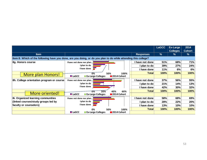|                                           |                                                                                                                 | <b>LaGCC</b> | Ex-Large<br><b>Colleges</b> | 2014<br><b>Cohort</b> |
|-------------------------------------------|-----------------------------------------------------------------------------------------------------------------|--------------|-----------------------------|-----------------------|
| <b>Item</b>                               | <b>Responses</b>                                                                                                | %            | $\%$                        | %                     |
|                                           | Item 8: Which of the following have you done, are you doing, or do you plan to do while attending this college? |              |                             |                       |
| 8g. Honors course                         | I have not done<br>I have not done nor plan                                                                     | 51%          | 68%                         | 71%                   |
|                                           | I plan to do<br>I plan to dol                                                                                   | 39%          | 27%                         | 24%                   |
|                                           | Thave done $\Box$<br>I have done                                                                                | 11%          | 6%                          | 6%                    |
| <b>More plan Honors!</b>                  | <b>Total</b><br>0%<br>50%<br>100%                                                                               | 100%         | 100%                        | 100%                  |
|                                           | <b>■ LaGCC</b><br>■ Ex-Large Colleges<br>■2014 Cohort                                                           |              |                             |                       |
| 8h. College orientation program or course | I have not done<br>I have not done nor plan                                                                     | 37%          | 56%                         | 55%                   |
|                                           | I plan to do<br>I plan to dol                                                                                   | 21%          | 14%                         | 13%                   |
|                                           | I have done<br>I have done                                                                                      | 42%          | 30%                         | 32%                   |
|                                           | <b>Total</b><br>40%<br>60%<br>0%<br>20%                                                                         | 100%         | 100%                        | 100%                  |
| More oriented!                            | 2014 Cohort<br><b>■ LaGCC</b><br>■ Ex-Large Colleges                                                            |              |                             |                       |
| 8i. Organized learning communities        | I have not done<br>I have not done nor plan                                                                     | 58%          | 68%                         | 69%                   |
| (linked courses/study groups led by       | I plan to do<br>I plan to dol                                                                                   | 28%          | 22%                         | 20%                   |
| faculty or counselors)                    | I have done<br>I have done                                                                                      | 13%          | 10%                         | 10%                   |
|                                           | <b>Total</b><br>0%<br>50%<br>100%                                                                               | 100%         | 100%                        | 100%                  |
|                                           | <b>■ LaGCC</b><br>■2014 Cohort<br><b>Ex-Large Colleges</b>                                                      |              |                             |                       |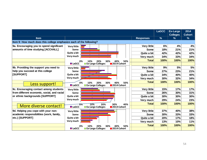|                                                                     |                                                         |                    | <b>LaGCC</b>  | Ex-Large<br><b>Colleges</b> | 2014<br><b>Cohort</b> |
|---------------------------------------------------------------------|---------------------------------------------------------|--------------------|---------------|-----------------------------|-----------------------|
| <b>Item</b>                                                         |                                                         | <b>Responses</b>   | $\frac{9}{6}$ | $\%$                        | $\frac{9}{6}$         |
| Item 9: How much does this college emphasize each of the following? |                                                         |                    |               |                             |                       |
| 9a. Encouraging you to spend significant                            | <b>Very little</b>                                      | <b>Very little</b> | 6%            | 4%                          | 4%                    |
| amounts of time studying [ACCHALL]                                  | Some                                                    | <b>Some</b>        | 18%           | 21%                         | 21%                   |
|                                                                     | Quite a bit                                             | Quite a bit        | 42%           | 42%                         | 42%                   |
|                                                                     | Very much                                               | Very much          | 34%           | 33%                         | 34%                   |
|                                                                     | 20%<br>40%<br>50%<br>0%<br>10%<br>30%                   | <b>Total</b>       | 100%          | 100%                        | 100%                  |
|                                                                     | <b>LaGCC</b><br><b>Ex-Large Colleges</b><br>2014 Cohort |                    |               |                             |                       |
| 9b. Providing the support you need to                               | <b>Very little</b>                                      | <b>Very little</b> | 9%            | 5%                          | 5%                    |
| help you succeed at this college                                    | Some                                                    | Some               | 27%           | 23%                         | 21%                   |
| <b>ISUPPORTI</b>                                                    | Quite a bit                                             | Quite a bit        | 34%           | 40%                         | 40%                   |
|                                                                     | Very much                                               | Very much          | 30%           | 32%                         | 34%                   |
|                                                                     | 50%<br>10%<br>20%<br>40%<br>0%<br>30%                   | <b>Total</b>       | 100%          | 100%                        | 100%                  |
| <u>Less support!</u>                                                | <b>LaGCC</b><br><b>Ex-Large Colleges</b><br>2014 Cohort |                    |               |                             |                       |
| 9c. Encouraging contact among students                              | <b>Very little</b>                                      | <b>Very little</b> | 15%           | 17%                         | 17%                   |
| from different economic, social, and racial                         | Some                                                    | Some               | 26%           | 30%                         | 31%                   |
| or ethnic backgrounds [SUPPORT]                                     | Quite a bit                                             | Quite a bit        | 30%           | 30%                         | 30%                   |
|                                                                     | Very much                                               | Very much          | 29%           | 24%                         | 23%                   |
|                                                                     | 10%<br>30%<br>40%<br>20%<br>'0%                         | <b>Total</b>       | 100%          | 100%                        | 100%                  |
| More diverse contact!                                               | <b>LaGCC</b><br><b>Ex-Large Colleges</b><br>2014 Cohort |                    |               |                             |                       |
| 9d. Helping you cope with your non-                                 | <b>Very little</b>                                      | <b>Very little</b> | 37%           | 40%                         | 38%                   |
| academic responsibilities (work, family,                            | Some                                                    | Some               | 30%           | 33%                         | 33%                   |
| etc.) [SUPPORT]                                                     | Quite a bit                                             | Quite a bit        | 20%           | 17%                         | 18%                   |
|                                                                     | Very much                                               | Very much          | 13%           | 10%                         | 11%                   |
|                                                                     | 50%<br>0%<br>20%<br>30%<br>40%<br>10%                   | <b>Total</b>       | 100%          | 100%                        | 100%                  |
|                                                                     | <b>LaGCC</b><br><b>Ex-Large Colleges</b><br>2014 Cohort |                    |               |                             |                       |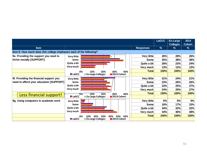|                                                                     |                                                         |                  | <b>LaGCC</b>  | <b>Ex-Large</b> | 2014          |
|---------------------------------------------------------------------|---------------------------------------------------------|------------------|---------------|-----------------|---------------|
|                                                                     |                                                         |                  |               | <b>Colleges</b> | <b>Cohort</b> |
| <b>Item</b>                                                         |                                                         | <b>Responses</b> | $\frac{9}{6}$ | %               | %             |
| Item 9: How much does this college emphasize each of the following? |                                                         |                  |               |                 |               |
| 9e. Providing the support you need to                               | <b>Very little</b>                                      | Very little      | 26%           | 28%             | 26%           |
| thrive socially [SUPPORT]                                           | Some                                                    | <b>Some</b>      | 35%           | 38%             | 38%           |
|                                                                     | Quite a bit                                             | Quite a bit      | 26%           | 23%             | 24%           |
|                                                                     | Very much                                               | Very much        | 13%           | 12%             | 13%           |
|                                                                     | 30%<br>40%<br>0%<br>10%<br>20%                          | <b>Total</b>     | 100%          | 100%            | 100%          |
|                                                                     | <b>LaGCC</b><br>2014 Cohort<br><b>Ex-Large Colleges</b> |                  |               |                 |               |
| 9f. Providing the financial support you                             | <b>Very little</b>                                      | Very little      | 31%           | 24%             | 21%           |
| need to afford your education [SUPPORT]                             | Some                                                    | Some             | 23%           | 26%             | 26%           |
|                                                                     | Quite a bit                                             | Quite a bit      | 22%           | 25%             | 27%           |
|                                                                     | Very much                                               | Very much        | 24%           | 25%             | 27%           |
| <b>Eless financial support!</b>                                     | 0%<br>40%<br>10%<br>30%<br>20%                          | <b>Total</b>     | 100%          | 100%            | 100%          |
|                                                                     | <b>LaGCC</b><br><b>Ex-Large Colleges</b><br>2014 Cohort |                  |               |                 |               |
| 9g. Using computers in academic work                                | <b>Very little</b>                                      | Very little      | 6%            | 5%              | 5%            |
|                                                                     | Some                                                    | <b>Some</b>      | 16%           | 17%             | 15%           |
|                                                                     | Quite a bit                                             | Quite a bit      | 34%           | 32%             | 32%           |
|                                                                     | Very much                                               | Very much        | 44%           | 46%             | 48%           |
|                                                                     | 60%<br>0%<br>50%<br>30%                                 | <b>Total</b>     | 100%          | 100%            | 100%          |
|                                                                     | <b>LaGCC</b><br>2014 Cohort<br><b>Ex-Large Colleges</b> |                  |               |                 |               |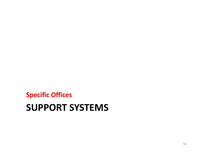#### **SUPPORT SYSTEMS Specific Offices**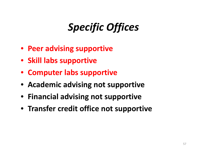# *Specific Offices*

- **Peer advising supportive**
- **Skill labs supportive**
- **Computer labs supportive**
- **Academic advising not supportive**
- **Financial advising not supportive**
- **Transfer credit office not supportive**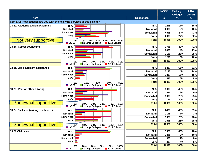|                                                                               |                                                           |                  | <b>LaGCC</b>  | <b>Ex-Large</b> | 2014          |
|-------------------------------------------------------------------------------|-----------------------------------------------------------|------------------|---------------|-----------------|---------------|
|                                                                               |                                                           |                  |               | <b>Colleges</b> | <b>Cohort</b> |
| Item                                                                          |                                                           | <b>Responses</b> | $\frac{9}{6}$ | $\frac{9}{6}$   | %             |
| Item 13.2: How satisfied are you with the following services at this college? |                                                           |                  |               |                 |               |
| 13.2a. Academic advising/planning                                             | <b>N.A.</b>                                               | <b>N.A.</b>      | 12%           | 17%             | 16%           |
|                                                                               | Not at all                                                | Not at all       | 20%           | 12%             | 10%           |
|                                                                               | Somewhat                                                  | Somewhat         | 49%           | 44%             | 43%           |
|                                                                               | <b>Very</b>                                               | Very             | 20%           | 27%             | 32%           |
| Not very supportive!                                                          | 50%<br>60%<br>30%<br>0%<br>10%<br>20%<br>40%              | <b>Total</b>     | 100%          | 100%            | 100%          |
|                                                                               | <b>LaGCC</b><br>2014 Cohort<br><b>Ex-Large Colleges</b>   |                  |               |                 |               |
| 13.2b. Career counseling                                                      | N.A.                                                      | <b>N.A.</b>      | 37%           | 42%             | 41%           |
|                                                                               | Not at all                                                | Not at all       | 20%           | 14%             | 13%           |
|                                                                               | Somewhat                                                  | Somewhat         | 31%           | 28%             | 28%           |
|                                                                               | Very                                                      | <b>Very</b>      | 12%           | 16%             | 18%           |
|                                                                               | 40%<br>50%<br>0%<br>10%<br>20%<br>30%                     | <b>Total</b>     | 100%          | 100%            | 100%          |
|                                                                               | <b>Ex-Large Colleges</b><br><b>LaGCC</b><br>2014 Cohort   |                  |               |                 |               |
| 13.2c. Job placement assistance                                               | N.A.                                                      | N.A.             | 53%           | 65%             | 62%           |
|                                                                               | Not at all                                                | Not at all       | 21%           | 14%             | 14%           |
|                                                                               | Somewhat                                                  | Somewhat         | 18%           | 15%             | 16%           |
|                                                                               | Very                                                      | <b>Very</b>      | 8%            | 6%              | 8%            |
|                                                                               | 40%<br>60%<br>80%<br>0%<br>20%                            | <b>Total</b>     | 100%          | 100%            | 100%          |
|                                                                               | <b>LaGCC</b><br><b>Ex-Large Colleges</b><br>2014 Cohort   |                  |               |                 |               |
| 13.2d. Peer or other tutoring                                                 | N.A.                                                      | <b>N.A.</b>      | 30%           | 46%             | 46%           |
|                                                                               | Not at all                                                | Not at all       | 14%           | 9%              | 9%            |
|                                                                               | Somewhat                                                  | Somewhat         | 36%           | 26%             | 25%           |
|                                                                               | <b>Very</b>                                               | Very             | 21%           | 20%             | 21%           |
| Somewhat supportive!                                                          | 10%<br>20%<br>30%<br>40%<br>50%<br>0%                     | <b>Total</b>     | 100%          | 100%            | 100%          |
|                                                                               | <b>■ LaGCC</b><br><b>Ex-Large Colleges</b><br>2014 Cohort |                  |               |                 |               |
| 13.2e. Skill labs (writing, math, etc.)                                       | N.A.                                                      | N.A.             | 24%           | 40%             | 39%           |
|                                                                               | Not at all                                                | Not at all       | 11%           | 7%              | 7%            |
|                                                                               | Somewhat                                                  | Somewhat         | 39%           | 28%             | 28%           |
|                                                                               | <b>Very</b>                                               | Very             | 25%           | 25%             | 25%           |
| <u>  Somewhat supportive!</u>                                                 | 50%<br>0%<br>10%<br>20%<br>30%<br>40%                     | <b>Total</b>     | 100%          | 100%            | 100%          |
|                                                                               | <b>LaGCC</b><br><b>Ex-Large Colleges</b><br>2014 Cohort   |                  |               |                 |               |
| 13.2f. Child care                                                             | <b>N.A.</b>                                               | <b>N.A.</b>      | 73%           | 80%             | 78%           |
|                                                                               | Not at all                                                | Not at all       | 14%           | 9%              | 10%           |
|                                                                               | Somewhat                                                  | Somewhat         | 9%            | 7%              | 8%            |
|                                                                               | Very $\ $                                                 | Very             | 4%            | 4%              | 5%            |
|                                                                               | 0%<br>100%<br>20%<br>40%<br>60%<br>80%                    | <b>Total</b>     | 100%          | 100%            | 100%          |
|                                                                               | <b>Ex-Large Colleges</b><br><b>LaGCC</b><br>2014 Cohort   |                  |               |                 |               |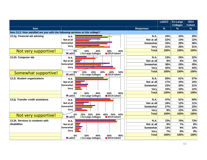|                                                                               |              |                          |                   |                  | <b>LaGCC</b> | <b>Ex-Large</b><br><b>Colleges</b> | 2014<br><b>Cohort</b> |
|-------------------------------------------------------------------------------|--------------|--------------------------|-------------------|------------------|--------------|------------------------------------|-----------------------|
| <b>Item</b>                                                                   |              |                          |                   | <b>Responses</b> | $\%$         | $\frac{9}{6}$                      | $\frac{9}{6}$         |
| Item 13.2: How satisfied are you with the following services at this college? |              |                          |                   |                  |              |                                    |                       |
| 13.2g. Financial aid advising                                                 | N.A.         |                          |                   | <b>N.A.</b>      | 24%          | 33%                                | 29%                   |
|                                                                               | Not at all   |                          |                   | Not at all       | 22%          | 14%                                | 12%                   |
|                                                                               | Somewhat     |                          |                   | <b>Somewhat</b>  | 33%          | 28%                                | 28%                   |
|                                                                               | <b>Very</b>  |                          |                   | Very             | 21%          | 26%                                | 31%                   |
| Not very supportive!                                                          | 0%           | 10%<br>20%               | 40%<br>30%        | <b>Total</b>     | 100%         | 100%                               | 100%                  |
|                                                                               | <b>LaGCC</b> | <b>Ex-Large Colleges</b> | 2014 Cohort       |                  |              |                                    |                       |
| 13.2h. Computer lab                                                           | N.A.         |                          |                   | <b>N.A.</b>      | 13%          | 25%                                | 22%                   |
|                                                                               | Not at all   |                          |                   | Not at all       | 8%           | 6%                                 | 5%                    |
|                                                                               | Somewhat     |                          |                   | Somewhat         | 38%          | 29%                                | 29%                   |
|                                                                               | <b>Very</b>  |                          |                   | Very             | 42%          | 41%                                | 44%                   |
| Somewhat supportive!                                                          |              | 20%<br>10%               | 30%<br>40%<br>50% | <b>Total</b>     | 100%         | 100%                               | 100%                  |
|                                                                               | <b>LaGCC</b> | <b>Ex-Large Colleges</b> | 2014 Cohort       |                  |              |                                    |                       |
| 13.2i. Student organizations                                                  | N.A.         |                          |                   | N.A.             | 50%          | 61%                                | 57%                   |
|                                                                               | Not at all   |                          |                   | Not at all       | 17%          | 10%                                | 10%                   |
|                                                                               | Somewhat     |                          |                   | Somewhat         | 23%          | 20%                                | 21%                   |
|                                                                               | <b>Very</b>  |                          |                   | <b>Very</b>      | 10%          | 10%                                | 12%                   |
|                                                                               | 0%           | 20%<br>40%               | 60%<br>80%        | <b>Total</b>     | 100%         | 100%                               | 100%                  |
|                                                                               | <b>LaGCC</b> | <b>Ex-Large Colleges</b> | 2014 Cohort       |                  |              |                                    |                       |
| 13.2j. Transfer credit assistance                                             | <b>N.A.</b>  |                          |                   | N.A.             | 47%          | 51%                                | 50%                   |
|                                                                               | Not at all   |                          |                   | Not at all       | 18%          | 12%                                | 11%                   |
|                                                                               | Somewhat     |                          |                   | Somewhat         | 27%          | 23%                                | 23%                   |
|                                                                               | Very         |                          |                   | <b>Very</b>      | 9%           | 15%                                | 16%                   |
| Not very supportive!                                                          | 0%           | 20%<br>30%<br>10%        | 40%<br>50%<br>60% | <b>Total</b>     | 100%         | 100%                               | 100%                  |
|                                                                               | <b>LaGCC</b> | <b>Ex-Large Colleges</b> | 2014 Cohort       |                  |              |                                    |                       |
| 13.2k. Services to students with                                              | <b>N.A.</b>  |                          |                   | <b>N.A.</b>      | 72%          | 75%                                | 73%                   |
| disabilities                                                                  | Not at all   |                          |                   | Not at all       | 9%           | 7%                                 | 8%                    |
|                                                                               | Somewhat     |                          |                   | Somewhat         | 13%          | 9%                                 | 10%                   |
|                                                                               | Very         |                          |                   | <b>Very</b>      | 7%           | 8%                                 | 9%                    |
|                                                                               | 0%           | 20%<br>40%               | 60%<br>80%        | <b>Total</b>     | 100%         | 100%                               | 100%                  |
|                                                                               | <b>LaGCC</b> | <b>Ex-Large Colleges</b> | 2014 Cohort       |                  |              |                                    |                       |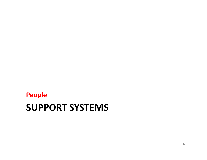#### **SUPPORT SYSTEMS People**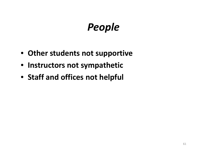# *People*

- **Other students not supportive**
- **Instructors not sympathetic**
- **Staff and offices not helpful**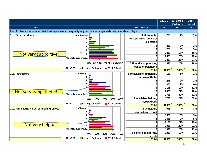|                                                                                                              |                                          |     |                            |     |                                      | <b>LaGCC</b> | <b>Ex-Large</b><br><b>Colleges</b> | 2014<br><b>Cohort</b> |
|--------------------------------------------------------------------------------------------------------------|------------------------------------------|-----|----------------------------|-----|--------------------------------------|--------------|------------------------------------|-----------------------|
| Item                                                                                                         |                                          |     |                            |     | <b>Responses</b>                     | $\%$         | $\%$                               | $\%$                  |
| Item 11: Mark the number that best represents the quality of your relationships with people at this college. |                                          |     |                            |     |                                      |              |                                    |                       |
| 11a. Other students                                                                                          | 1 Unfriendly,                            |     |                            |     | 1 Unfriendly,                        | 2%           | 1%                                 | 1%                    |
|                                                                                                              | 7                                        |     |                            |     | unsupportive, sense of               |              |                                    |                       |
|                                                                                                              |                                          |     |                            |     | alienation                           |              |                                    |                       |
|                                                                                                              |                                          |     |                            |     | $\mathbf 2$                          | 3%           | 3%                                 | 2%                    |
|                                                                                                              |                                          |     |                            |     | 3                                    | 7%           | 5%                                 | 5%                    |
| Not very supportive!                                                                                         | 6                                        |     |                            |     | $\overline{\mathbf{4}}$              | 24%          | 17%                                | 16%                   |
|                                                                                                              | 7 Friendly, supportive,.                 |     |                            |     | 5 <sup>1</sup>                       | 23%          | 23%                                | 22%                   |
|                                                                                                              |                                          |     |                            |     | 6                                    | 24%          | 26%                                | 27%                   |
|                                                                                                              | 0%                                       |     | 5% 10% 15% 20% 25% 30%     |     | 7 Friendly, supportive,              | 18%          | 25%                                | 28%                   |
|                                                                                                              | <b>LaGCC</b><br><b>Ex-Large Colleges</b> |     | $\blacksquare$ 2014 Cohort |     | sense of belonging                   |              |                                    |                       |
|                                                                                                              |                                          |     |                            |     | <b>Total</b>                         | 100%         | 100%                               | 100%                  |
| 11b. Instructors                                                                                             | 1 Unfriendly,                            |     |                            |     | 1 Unavailable, unhelpful,            | 1%           | 1%                                 | 1%                    |
|                                                                                                              |                                          |     |                            |     | unsympathetic                        |              |                                    |                       |
|                                                                                                              | з                                        |     |                            |     | 2                                    | 2%           | 2%                                 | 2%                    |
|                                                                                                              |                                          |     |                            |     | $\mathbf{3}$                         | 5%           | 4%                                 | 4%                    |
|                                                                                                              |                                          |     |                            |     | 4                                    | 21%          | 12%                                | 11%                   |
| Not very sympathetic!                                                                                        | 7 Friendly, supportive,.                 |     |                            |     | 5                                    | 26%          | 21%                                | 20%                   |
|                                                                                                              |                                          |     |                            |     | 6                                    | 27%          | 32%                                | 31%                   |
|                                                                                                              | 0%                                       |     | 30%<br>20%                 | 40% | 7 Available, helpful,<br>sympathetic | 17%          | 29%                                | 32%                   |
|                                                                                                              | <b>LaGCC</b><br>Ex-Large Colleges        |     | 2014 Cohort                |     | <b>Total</b>                         | 100%         | 100%                               | 100%                  |
| 11c. Administrative personnel and offices                                                                    | 1 Unfriendly,                            |     |                            |     | 1 Unhelpful,                         | 9%           | 4%                                 | 3%                    |
|                                                                                                              |                                          |     |                            |     | inconsiderate, rigid                 |              |                                    |                       |
|                                                                                                              |                                          |     |                            |     | 2                                    | 13%          | 6%                                 | 5%                    |
|                                                                                                              |                                          |     |                            |     | 3                                    | 15%          | 9%                                 | 8%                    |
|                                                                                                              |                                          |     |                            |     | 4                                    | 21%          | 21%                                | 19%                   |
| Not very helpful!                                                                                            | 6                                        |     |                            |     | 5                                    | 20%          | 22%                                | 21%                   |
|                                                                                                              | 7 Friendly, supportive,.                 |     |                            |     | 6                                    | 13%          | 20%                                | 22%                   |
|                                                                                                              | 0%                                       | 10% | 30%<br>20%                 | 40% | 7 Helpful, considerate,              | 10%          | 18%                                | 22%                   |
|                                                                                                              |                                          |     |                            |     | flexible                             |              |                                    |                       |
|                                                                                                              | <b>LaGCC</b><br>Ex-Large Colleges        |     | 2014 Cohort                |     | <b>Total</b>                         | 100%         | 100%                               | 100%                  |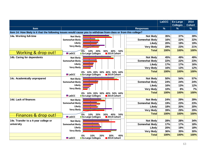|                                      |                                                                                                                  |                        | <b>LaGCC</b> | <b>Ex-Large</b><br><b>Colleges</b> | 2014<br><b>Cohort</b> |
|--------------------------------------|------------------------------------------------------------------------------------------------------------------|------------------------|--------------|------------------------------------|-----------------------|
| <b>Item</b>                          |                                                                                                                  | <b>Responses</b>       | $\%$         | $\%$                               | $\frac{9}{6}$         |
|                                      | Item 14: How likely is it that the following issues would cause you to withdraw from class or from this college? |                        |              |                                    |                       |
| 14a. Working full-time               | <b>Not likely</b>                                                                                                | <b>Not likely</b>      | 35%          | 37%                                | 39%                   |
|                                      | Somewhat likely                                                                                                  | Somewhat likely        | 16%          | 22%                                | 22%                   |
|                                      | Likely                                                                                                           | Likely                 | 20%          | 19%                                | 19%                   |
|                                      | <b>Very likely</b>                                                                                               | <b>Very likely</b>     | 29%          | 23%                                | 21%                   |
|                                      | 30%<br>40%<br>50%<br>10%<br>20%                                                                                  | <b>Total</b>           | 100%         | 100%                               | 100%                  |
| Working & drop out!                  | <b>LaGCC</b><br><b>Ex-Large Colleges</b><br>2014 Cohort                                                          |                        |              |                                    |                       |
| 14b. Caring for dependents           | <b>Not likely</b>                                                                                                | <b>Not likely</b>      | 45%          | 49%                                | 49%                   |
|                                      | Somewhat likely                                                                                                  | <b>Somewhat likely</b> | 22%          | 22%                                | 23%                   |
|                                      | Likely                                                                                                           | Likely                 | 17%          | 17%                                | 16%                   |
|                                      | <b>Very likely</b>                                                                                               | <b>Very likely</b>     | 16%          | 13%                                | 12%                   |
|                                      | 10% 20% 30% 40% 50% 60%<br>0%                                                                                    | <b>Total</b>           | 100%         | 100%                               | 100%                  |
|                                      | <b>LaGCC</b><br><b>Ex-Large Colleges</b><br>2014 Cohort                                                          |                        |              |                                    |                       |
| 14c. Academically unprepared         | <b>Not likely</b>                                                                                                | <b>Not likely</b>      | 50%          | 54%                                | 57%                   |
|                                      | Somewhat likely                                                                                                  | <b>Somewhat likely</b> | 24%          | 24%                                | 24%                   |
|                                      | Likely                                                                                                           | Likely                 | 16%          | 13%                                | 12%                   |
|                                      | <b>Very likely</b>                                                                                               | <b>Very likely</b>     | 10%          | 8%                                 | 7%                    |
|                                      | 10% 20% 30% 40% 50% 60%<br>በ%                                                                                    | <b>Total</b>           | 100%         | 100%                               | 100%                  |
|                                      | <b>LaGCC</b><br><b>Ex-Large Colleges</b><br>2014 Cohort                                                          |                        |              |                                    |                       |
| 14d. Lack of finances                | <b>Not likely</b>                                                                                                | <b>Not likely</b>      | 24%          | 29%                                | 29%                   |
|                                      | Somewhat likely                                                                                                  | <b>Somewhat likely</b> | 19%          | 23%                                | 23%                   |
|                                      | Likely                                                                                                           | Likely                 | 18%          | 20%                                | 20%                   |
|                                      | <b>Very likely</b>                                                                                               | <b>Very likely</b>     | 39%          | 29%                                | 29%                   |
| Finances & drop out!                 | 10%<br>50%<br>20%<br>30%<br>40%<br>0%                                                                            | <b>Total</b>           | 100%         | 100%                               | 100%                  |
|                                      | <b>■ LaGCC</b><br><b>Ex-Large Colleges</b><br>2014 Cohort                                                        |                        |              |                                    |                       |
| 14e. Transfer to a 4-year college or | <b>Not likely</b>                                                                                                | <b>Not likely</b>      | 28%          | 28%                                | 34%                   |
| university                           | Somewhat likely                                                                                                  | <b>Somewhat likely</b> | 17%          | 17%                                | 18%                   |
|                                      | Likely                                                                                                           | Likely                 | 20%          | 19%                                | 18%                   |
|                                      | <b>Very likely</b>                                                                                               | <b>Very likely</b>     | 36%          | 35%                                | 30%                   |
|                                      | 10%<br>20%<br>30%<br>40%<br>0%                                                                                   | <b>Total</b>           | 100%         | 100%                               | 100%                  |
|                                      | <b>LaGCC</b><br><b>Ex-Large Colleges</b><br>2014 Cohort                                                          |                        |              |                                    |                       |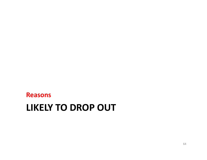#### **LIKELY TO DROP OUT Reasons**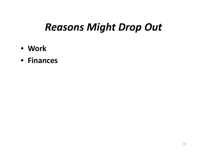#### *Reasons Might Drop Out*

- **Work**
- **Finances**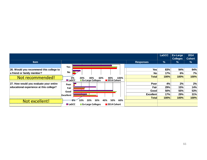|                                         |                                                         |                  | <b>LaGCC</b> | Ex-Large        | 2014          |
|-----------------------------------------|---------------------------------------------------------|------------------|--------------|-----------------|---------------|
|                                         |                                                         |                  |              | <b>Colleges</b> | <b>Cohort</b> |
| <b>Item</b>                             |                                                         | <b>Responses</b> | $\%$         | $\frac{9}{6}$   | $\frac{9}{6}$ |
|                                         | Yes                                                     |                  |              |                 |               |
| 26. Would you recommend this college to |                                                         | Yes              | 83%          | 94%             | 94%           |
| a friend or family member?              | <b>No</b>                                               | <b>No</b>        | 17%          | 6%              | 7%            |
| Not recommended!                        | 100%<br>20%<br>60%<br>80%<br>0%<br>40%                  | <b>Total</b>     | 100%         | 100%            | 100%          |
|                                         | <b>LaGCC</b><br><b>Ex-Large Colleges</b><br>2014 Cohort |                  |              |                 |               |
| 27. How would you evaluate your entire  | Poor                                                    | Poor             | 4%           | 2%              | 2%            |
| educational experience at this college? | Fair                                                    | Fair             | 29%          | 15%             | 14%           |
|                                         | Good                                                    | Good             | 50%          | 55%             | 53%           |
|                                         | Excellent                                               | <b>Excellent</b> | 17%          | 29%             | 31%           |
|                                         |                                                         | <b>Total</b>     | 100%         | 100%            | 100%          |
| Not excellent!                          | 20%<br>60%<br>10%<br>40%<br>50%<br>30%                  |                  |              |                 |               |
|                                         | <b>LaGCC</b><br>2014 Cohort<br><b>Ex-Large Colleges</b> |                  |              |                 |               |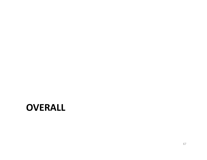#### **OVERALL**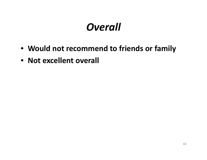## *Overall*

- **Would not recommend to friends or family**
- **Not excellent overall**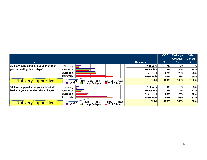|                                        |                                                         |                  | <b>LaGCC</b> | <b>Ex-Large</b><br><b>Colleges</b> | 2014<br><b>Cohort</b> |
|----------------------------------------|---------------------------------------------------------|------------------|--------------|------------------------------------|-----------------------|
| <b>Item</b>                            |                                                         | <b>Responses</b> | $\%$         | %                                  | %                     |
| 15. How supportive are your friends of | Not very                                                | Not very         | 7%           | 5%                                 | 4%                    |
| your attending this college?           | Somewhat                                                | Somewhat         | 26%          | 20%                                | 18%                   |
|                                        | Quite a bit                                             | Quite a bit      | 27%          | 28%                                | 28%                   |
|                                        | <b>Extremely</b>                                        | <b>Extremely</b> | 40%          | 48%                                | 50%                   |
| Not very supportive!                   | 0%<br>60%<br>30%<br>40%<br>50%<br>20%<br>10%            | Totall           | 100%         | 100%                               | 100%                  |
|                                        | 2014 Cohort<br><b>LaGCC</b><br><b>Ex-Large Colleges</b> |                  |              |                                    |                       |
| 16. How supportive is your immediate   | Not very                                                | Not very         | 6%           | 3%                                 | 3%                    |
| family of your attending this college? | Somewhat                                                | Somewhat         | 15%          | 12%                                | 11%                   |
|                                        | Quite a bit                                             | Quite a bit      | 23%          | 20%                                | 20%                   |
|                                        | <b>Extremely</b>                                        | <b>Extremely</b> | 56%          | 65%                                | 67%                   |
| Not very supportive!                   | $10\%$<br>80%<br>40%<br>60%<br>20%                      | Totall           | 100%         | 100%                               | 100%                  |
|                                        | <b>LaGCC</b><br>2014 Cohort<br><b>Ex-Large Colleges</b> |                  |              |                                    |                       |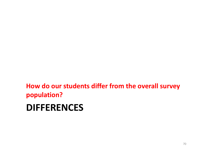**How do our students differ from the overall survey population?**

#### **DIFFERENCES**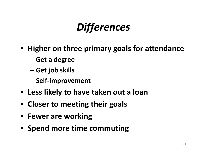# *Differences*

- **Higher on three primary goals for attendance**
	- –**Get <sup>a</sup> degree**
	- –**Get job skills**
	- **Self‐improvement**
- **Less likely to have taken out <sup>a</sup> loan**
- **Closer to meeting their goals**
- **Fewer are working**
- **Spend more time commuting**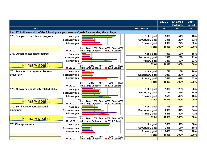|                                          |                                                                                                            |                     | <b>LaGCC</b> | <b>Ex-Large</b><br><b>Colleges</b> | 2014<br><b>Cohort</b> |
|------------------------------------------|------------------------------------------------------------------------------------------------------------|---------------------|--------------|------------------------------------|-----------------------|
| <b>Item</b>                              |                                                                                                            | <b>Responses</b>    | $\%$         | $\frac{9}{6}$                      | $\%$                  |
|                                          | Item 17: Indicate which of the following are your reasons/goals for attending this college.                |                     |              |                                    |                       |
| 17a. Complete a certificate program      | Not a goal                                                                                                 | Not a goal          | 53%          | 51%                                | 48%                   |
|                                          | Secondary goal                                                                                             | Secondary goal      | 18%          | 22%                                | 21%                   |
|                                          | <b>Primary goal</b>                                                                                        | Primary goal        | 29%          | 27%                                | 32%                   |
|                                          | 10% 20% 30%<br>40% 50% 60%<br>0%                                                                           | <b>Total</b>        | 100%         | 100%                               | 100%                  |
|                                          | 2014 Cohort<br><b>■ LaGCC</b><br><b>Ex-Large Colleges</b>                                                  |                     |              |                                    |                       |
| 17b. Obtain an associate degree          | Not a goal                                                                                                 | Not a goal          | 9%           | 18%                                | 16%                   |
|                                          | Secondary goal                                                                                             | Secondary goal      | 18%          | 23%                                | 21%                   |
|                                          | <b>Primary goal</b>                                                                                        | <b>Primary goal</b> | 73%          | 58%                                | 63%                   |
| <b>Primary goal?</b>                     | 80%<br>20%<br>40%<br>60%                                                                                   | <b>Total</b>        | 100%         | 100%                               | 100%                  |
|                                          | <b>Ex-Large Colleges</b><br><b>LaGCC</b><br>2014 Cohort                                                    |                     |              |                                    |                       |
| 17c. Transfer to a 4-year college or     | Not a goal                                                                                                 | Not a goal          | 7%           | 18%                                | 26%                   |
| university                               | Secondary goal                                                                                             | Secondary goal      | 19%          | 20%                                | 23%                   |
|                                          | <b>Primary goal</b>                                                                                        | Primary goal        | 74%          | 63%                                | 52%                   |
|                                          | 60%<br>20%<br>40%<br>80%<br>0%                                                                             | <b>Total</b>        | 100%         | 100%                               | 100%                  |
|                                          | <b>LaGCC</b><br><b>Ex-Large Colleges</b><br>2014 Cohort                                                    |                     |              |                                    |                       |
| 17d. Obtain or update job-related skills | Not a goal                                                                                                 | Not a goal          | 18%          | 29%                                | 26%                   |
|                                          | Secondary goal                                                                                             | Secondary goal      | 27%          | 29%                                | 28%                   |
|                                          | <b>Primary goal</b>                                                                                        | Primary goal        | 55%          | 42%                                | 46%                   |
|                                          |                                                                                                            | <b>Total</b>        | 100%         | 100%                               | 100%                  |
| Primary goal!!                           | 10% 20% 30%<br>40% 50% 60%<br>0%<br><b>LaGCC</b><br><b>Ex-Large Colleges</b><br>$\blacksquare$ 2014 Cohort |                     |              |                                    |                       |
| 17e. Self-improvement/personal           | Not a goal                                                                                                 | Not a goal          | 17%          | 25%                                | 25%                   |
| enjoyment                                | Secondary goal                                                                                             | Secondary goal      | 29%          | 34%                                | 34%                   |
|                                          | <b>Primary goal</b>                                                                                        | <b>Primary goal</b> | 54%          | 40%                                | 41%                   |
| Primary goal?!                           | 10% 20% 30%<br>40% 50% 60%<br>0%                                                                           | <b>Total</b>        | 100%         | 100%                               | 100%                  |
|                                          | <b>LaGCC</b><br><b>Ex-Large Colleges</b><br>2014 Cohort                                                    |                     |              |                                    |                       |
| 17f. Change careers                      | Not a goal                                                                                                 | Not a goal          | 58%          | 59%                                | 56%                   |
|                                          | Secondary goal                                                                                             | Secondary goal      | 18%          | 17%                                | 16%                   |
|                                          | <b>Primary goal</b>                                                                                        | <b>Primary goal</b> | 24%          | 25%                                | 28%                   |
|                                          |                                                                                                            | <b>Total</b>        | 100%         | 100%                               | 100%                  |
|                                          | 80%<br>20%<br>40%<br>60%<br><b>LaGCC</b><br>2014 Cohort<br><b>Ex-Large Colleges</b>                        |                     |              |                                    |                       |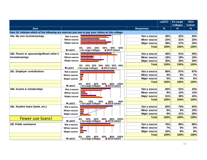|                                                                                                   |                     |                                                                                          |                     | <b>LaGCC</b>  | <b>Ex-Large</b><br><b>Colleges</b> | 2014<br><b>Cohort</b> |
|---------------------------------------------------------------------------------------------------|---------------------|------------------------------------------------------------------------------------------|---------------------|---------------|------------------------------------|-----------------------|
| <b>Item</b>                                                                                       |                     |                                                                                          | <b>Responses</b>    | $\frac{9}{6}$ | $\%$                               | $\frac{9}{6}$         |
| Item 18: Indicate which of the following are sources you use to pay your tuition at this college. |                     |                                                                                          |                     |               |                                    |                       |
| 18a. My own income/savings                                                                        | Not a source        |                                                                                          | Not a source        | 38%           | 32%                                | 35%                   |
|                                                                                                   | <b>Minor source</b> |                                                                                          | <b>Minor source</b> | 23%           | 31%                                | 32%                   |
|                                                                                                   | <b>Major source</b> |                                                                                          | <b>Major source</b> | 38%           | 37%                                | 33%                   |
|                                                                                                   |                     | 40%<br>50%<br>10%<br>20%<br>30%                                                          | <b>Total</b>        | 100%          | 100%                               | 100%                  |
|                                                                                                   | <b>LaGCC</b>        | <b>Ex-Large Colleges</b><br>■ 2014 Cohort                                                |                     |               |                                    |                       |
| 18b. Parent or spouse/significant other's                                                         | Not a source        |                                                                                          | Not a source        | 46%           | 51%                                | 55%                   |
| income/savings                                                                                    | <b>Minor source</b> |                                                                                          | <b>Minor source</b> | 19%           | 19%                                | 19%                   |
|                                                                                                   | <b>Major source</b> |                                                                                          | <b>Major source</b> | 35%           | 30%                                | 26%                   |
|                                                                                                   |                     | 40% 50%<br>0% 10% 20% 30%<br>60%                                                         | <b>Total</b>        | 100%          | 100%                               | 100%                  |
|                                                                                                   | <b>■ LaGCC</b>      | <b>Ex-Large Colleges</b><br>2014 Cohort                                                  |                     |               |                                    |                       |
| 18c. Employer contributions                                                                       | Not a source        |                                                                                          | Not a source        | 86%           | 87%                                | 87%                   |
|                                                                                                   | <b>Minor source</b> |                                                                                          | <b>Minor source</b> | 9%            | 8%                                 | 7%                    |
|                                                                                                   | <b>Major source</b> |                                                                                          | <b>Major source</b> | 5%            | 6%                                 | 6%                    |
|                                                                                                   |                     | 40%                                                                                      | <b>Total</b>        | 100%          | 100%                               | 100%                  |
|                                                                                                   | <b>■ LaGCC</b>      | 60%<br>80% 100%<br>20%<br>0%<br><b>Ex-Large Colleges</b><br>$\blacksquare$ 2014 Cohort   |                     |               |                                    |                       |
| 18d. Grants & scholarships                                                                        | Not a source        |                                                                                          | Not a source        | 60%           | 51%                                | 43%                   |
|                                                                                                   | <b>Minor source</b> |                                                                                          | <b>Minor source</b> | 9%            | 12%                                | 13%                   |
|                                                                                                   | <b>Major source</b> |                                                                                          | <b>Major source</b> | 31%           | 38%                                | 44%                   |
|                                                                                                   |                     | 80%                                                                                      | <b>Total</b>        | 100%          | 100%                               | 100%                  |
|                                                                                                   | <b>LaGCC</b>        | 0%<br>6 20% 40<br>Ex-Large Colleges<br>40%<br>60%<br>2014 Cohort                         |                     |               |                                    |                       |
| 18e. Student Ioans (bank, etc.)                                                                   | Not a source        |                                                                                          | Not a source        | 82%           | 70%                                | 64%                   |
|                                                                                                   | <b>Minor source</b> |                                                                                          | <b>Minor source</b> | 9%            | 9%                                 | 10%                   |
|                                                                                                   | <b>Major source</b> |                                                                                          | <b>Major source</b> | 9%            | 21%                                | 26%                   |
| <b>Fewer use loans!</b>                                                                           |                     | 20%<br>40%<br>60%<br>80% 100%<br>0%                                                      | <b>Total</b>        | 100%          | 100%                               | 100%                  |
|                                                                                                   | <b>LaGCC</b>        | <b>Ex-Large Colleges</b><br>2014 Cohort                                                  |                     |               |                                    |                       |
| 18f. Public assistance                                                                            | Not a source        |                                                                                          | Not a source        | 76%           | 86%                                | 86%                   |
|                                                                                                   | <b>Minor source</b> |                                                                                          | <b>Minor source</b> | 7%            | 6%                                 | 6%                    |
|                                                                                                   | <b>Major source</b> |                                                                                          | <b>Major source</b> | 16%           | 8%                                 | 8%                    |
|                                                                                                   |                     |                                                                                          | <b>Total</b>        | 100%          | 100%                               | 100%                  |
|                                                                                                   | <b>■ LaGCC</b>      | 80% 100%<br>0%<br>40%<br>60%<br>20%<br>■ Ex-Large Colleges<br>$\blacksquare$ 2014 Cohort |                     |               |                                    |                       |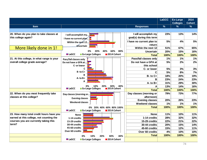|                                                                  |                                                          |                                                  | <b>LaGCC</b> | Ex-Large<br><b>Colleges</b> | 2014<br><b>Cohort</b> |
|------------------------------------------------------------------|----------------------------------------------------------|--------------------------------------------------|--------------|-----------------------------|-----------------------|
| <b>Item</b>                                                      |                                                          | <b>Responses</b>                                 | $\%$         | $\frac{9}{6}$               | $\%$                  |
|                                                                  |                                                          |                                                  |              |                             |                       |
| 20. When do you plan to take classes at<br>this college again?   | I will accomplish my<br>I have no current plan           | I will accomplish my<br>goal(s) during this term | 23%          | 13%                         | 14%                   |
|                                                                  | Within the next 12<br><b>Uncertain</b>                   | I have no current plan to<br>return              | 5%           | 4%                          | 5%                    |
| More likely done in 1!                                           |                                                          | Within the next 12                               | 51%          | 67%                         | 65%                   |
|                                                                  | 60%<br>80%<br>0%<br>20%<br>40%                           | <b>Uncertain</b>                                 | 20%          | 15%                         | 16%                   |
|                                                                  | <b>LaGCC</b><br><b>Ex-Large Colleges</b><br>2014 Cohort  | Total                                            | 100%         | 100%                        | 100%                  |
| 21. At this college, in what range is your                       | Pass/fail classes only                                   | Pass/fail classes only                           | 1%           | 1%                          | 1%                    |
| overall college grade average?                                   | Do not have a GPA at<br>C- or lower                      | Do not have a GPA at<br>this school              | 5%           | 2%                          | 2%                    |
|                                                                  | C                                                        | C- or lower                                      | 5%           | 3%                          | 3%                    |
|                                                                  | $B$ -to $C+$                                             | C                                                | 5%           | 8%                          | 7%                    |
|                                                                  |                                                          | $B - to C +$                                     | 18%          | 20%                         | 19%                   |
|                                                                  | A-to B+                                                  | в                                                | 23%          | 24%                         | 23%                   |
|                                                                  |                                                          | $A - to B +$                                     | 31%          | 29%                         | 30%                   |
|                                                                  | 30%<br>40%<br>0%<br>10%<br>20%                           | A                                                | 13%          | 14%                         | 16%                   |
|                                                                  | <b>LaGCC</b><br><b>Ex-Large Colleges</b><br>■2014 Cohort | <b>Total</b>                                     | 100%         | 100%                        | 100%                  |
| 22. When do you most frequently take<br>classes at this college? | Day classes (morning or<br><b>Evening classes</b>        | Day classes (morning or<br>afternoon)            | 79%          | 73%                         | 77%                   |
|                                                                  |                                                          | <b>Evening classes</b>                           | 20%          | 26%                         | 23%                   |
|                                                                  | <b>Weekend classes</b>                                   | <b>Weekend classes</b>                           | 1%           | 1%                          | 1%                    |
|                                                                  | 0% 20% 40% 60% 80% 100%                                  | <b>Total</b>                                     | 100%         | 100%                        | 100%                  |
|                                                                  | <b>LaGCC</b><br><b>Ex-Large Colleges</b><br>2014 Cohort  |                                                  |              |                             |                       |
| 23. How many total credit hours have you                         | <b>None</b>                                              | <b>None</b>                                      | 11%          | 10%                         | 11%                   |
| earned at this college, not counting the                         | 1-14 credits                                             | 1-14 credits                                     | 28%          | 32%                         | 32%                   |
| courses you are currently taking this                            | 15-29 credits                                            | 15-29 credits                                    | 22%          | 21%                         | 22%                   |
| term?                                                            | 30-44 credits                                            | 30-44 credits                                    | 20%          | 15%                         | 14%                   |
|                                                                  | 45-60 credits                                            | 45-60 credits                                    | 15%          | 12%                         | 11%                   |
|                                                                  | Over 60 credits                                          | Over 60 credits                                  | 4%           | 10%                         | 10%                   |
|                                                                  | 40%<br>20%<br>30%<br>0%<br>10%                           | <b>Total</b>                                     | 100%         | 100%                        | 100%                  |
|                                                                  | <b>LaGCC</b><br><b>Ex-Large Colleges</b><br>2014 Cohort  |                                                  |              |                             |                       |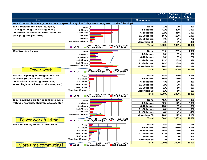|                                             |                                                                                                       |                    | <b>LaGCC</b>  | Ex-Large<br><b>Colleges</b> | 2014<br><b>Cohort</b> |
|---------------------------------------------|-------------------------------------------------------------------------------------------------------|--------------------|---------------|-----------------------------|-----------------------|
| <b>Item</b>                                 |                                                                                                       | <b>Responses</b>   | $\frac{9}{6}$ | ℅                           | %                     |
|                                             | Item 10: About how many hours do you spend in a typical 7-day week doing each of the following?       |                    |               |                             |                       |
| 10a. Preparing for class (studying,         | <b>None</b>                                                                                           | <b>None</b>        | 1%            | 2%                          | 2%                    |
| reading, writing, rehearsing, doing         | 1-5 hours                                                                                             | 1-5 hours          | 41%           | 40%                         | 39%                   |
| homework, or other activites related to     | 6-10 hours                                                                                            | 6-10 hours         | 32%           | 31%                         | 30%                   |
| your program) [STUEFF]                      | 11-20 hours                                                                                           | <b>11-20 hours</b> | 16%           | 18%                         | 19%                   |
|                                             | 21-30 hours                                                                                           | <b>21-30 hours</b> | 7%            | 6%                          | 7%                    |
|                                             | More than 30 hours                                                                                    | More than 30       | 4%            | 3%                          | 4%                    |
|                                             | 30% 40% 50%<br>■2014 Cohort                                                                           | <b>Total</b>       | 100%          | 100%                        | 100%                  |
|                                             | 0% 10% 20%<br>Ex-Large Colleges∎<br><b>LaGCC</b>                                                      |                    |               |                             |                       |
| 10b. Working for pay                        | <b>None</b>                                                                                           | <b>None</b>        | 31%           | 25%                         | 26%                   |
|                                             | 1-5 hours                                                                                             | 1-5 hours          | 9%            | 6%                          | 6%                    |
|                                             | 6-10 hours                                                                                            | 6-10 hours         | 9%            | 6%                          | 7%                    |
|                                             | 11-20 hours                                                                                           | <b>11-20 hours</b> | 12%           | 13%                         | 13%                   |
|                                             | 21-30 hours                                                                                           | <b>21-30 hours</b> | 14%           | 18%                         | 18%                   |
|                                             | More than 30 hours                                                                                    | More than 30       | 26%           | 32%                         | 30%                   |
| <b>Fewer work</b>                           | 20%_<br>10°, 30%<br>∎2014 Cohort ∎<br>10% 10%<br>Ex-Large Colleges∎<br>40%                            | <b>Total</b>       | 100%          | 100%                        | 100%                  |
|                                             | $\blacksquare$ LaGCC                                                                                  |                    |               |                             |                       |
| 10c. Participating in college-sponsored     | <b>None</b>                                                                                           | <b>None</b>        | 78%           | 82%                         | 80%                   |
| activities (organizations, campus           | 1-5 hours                                                                                             | 1-5 hours          | 15%           | 13%                         | 14%                   |
| publications, student government,           | 6-10 hours                                                                                            | 6-10 hours         | 4%            | 3%                          | 3%                    |
| intercollegiate or intramural sports, etc.) | <b>11-20 hours</b>                                                                                    | <b>11-20 hours</b> | 2%            | 2%                          | 2%                    |
|                                             | <b>21-30 hours</b>                                                                                    | <b>21-30 hours</b> | 1%            | 1%                          | 1%                    |
|                                             | More than 30 hours                                                                                    | More than 30       | 1%            | 1%                          | 1%                    |
|                                             | 40%<br>60% 80% 100%<br>2014 Cohort<br>0% 20% 40%<br>Ex-Large Colleges∎                                | <b>Total</b>       | 100%          | 100%                        | 100%                  |
|                                             | <b>LaGCC</b>                                                                                          |                    |               |                             |                       |
| 10d. Providing care for dependents living   | <b>None</b>                                                                                           | <b>None</b>        | 45%           | 46%                         | 44%                   |
| with you (parents, children, spouse, etc.)  | 1-5 hours                                                                                             | 1-5 hours          | 22%           | 17%                         | 16%                   |
|                                             | 6-10 hours                                                                                            | 6-10 hours         | 13%           | 9%                          | 8%                    |
|                                             | 11-20 hours                                                                                           | <b>11-20 hours</b> | 6%            | 6%                          | 6%                    |
|                                             | 21-30 hours                                                                                           | <b>21-30 hours</b> | 4%            | 4%                          | 4%                    |
|                                             | More than 30 hours                                                                                    | More than 30       | 10%           | 17%                         | 21%                   |
| <b>Fewer work fulltime</b>                  | <sup>*</sup> 0% 10% 20%<br>■ Ex-Large Colleges<br>30% 40% 50%<br>■2014 Cohort<br>$\blacksquare$ LaGCC | <b>Total</b>       | 100%          | 100%                        | 100%                  |
|                                             |                                                                                                       |                    |               |                             |                       |
| 10e. Commuting to and from classes          | <b>None</b>                                                                                           | <b>None</b>        | 8%            | 7%                          | 7%                    |
|                                             | 1-5 hours                                                                                             | 1-5 hours          | 50%           | 68%                         | 67%                   |
|                                             | 6-10 hours                                                                                            | 6-10 hours         | 26%           | 16%                         | 16%                   |
|                                             | <b>11-20 hours</b>                                                                                    | <b>11-20 hours</b> | 11%           | 5%                          | 6%                    |
|                                             | 21-30 hours<br>More than 30 hours                                                                     | <b>21-30 hours</b> | 3%            | 2%                          | 2%                    |
|                                             |                                                                                                       | More than 30       | 3%            | 2%                          | 2%                    |
| <b>More time commuting!</b>                 | 40%<br>60%<br>80%<br>● 0% 20% 4<br>■ Ex-Large Colleges<br><b>■ LaGCC</b><br>2014 Cohort               | <b>Total</b>       | 100%          | 100%                        | 100%                  |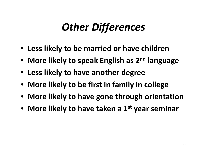## *Other Differences*

- **Less likely to be married or have children**
- **More likely to speak English as 2n<sup>d</sup> language**
- **Less likely to have another degree**
- **More likely to be first in family in college**
- **More likely to have gone through orientation**
- **More likely to have taken <sup>a</sup> 1st year seminar**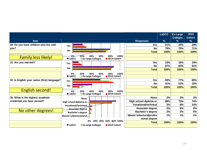|                                              |                                                                                             | <b>LaGCC</b>      | <b>Ex-Large</b><br><b>Colleges</b> | 2014<br><b>Cohort</b> |
|----------------------------------------------|---------------------------------------------------------------------------------------------|-------------------|------------------------------------|-----------------------|
| <b>Item</b>                                  | <b>Responses</b>                                                                            | $\%$              | $\%$                               | %                     |
| 28. Do you have children who live with       | Yes                                                                                         | <b>Yes</b><br>21% | 25%                                | 29%                   |
| you?                                         |                                                                                             | <b>No</b><br>79%  | 75%                                | 71%                   |
|                                              | No<br><b>Total</b>                                                                          | 100%              | 100%                               | 100%                  |
| <b>Family less likely!</b>                   | 0%-<br>100%<br>60%<br>80%<br>40%<br><b>Ex-Large Colleges</b><br>2014 Cohort<br><b>LaGCC</b> |                   |                                    |                       |
| 31. Are you married?                         | Yes                                                                                         | <b>Yes</b><br>13% | 16%                                | 19%                   |
|                                              |                                                                                             | <b>No</b><br>87%  | 84%                                | 81%                   |
|                                              | No<br><b>Total</b>                                                                          | 100%              | 100%                               | 100%                  |
|                                              | 60%<br>0%<br>40%<br>20%<br>80%<br>100%                                                      |                   |                                    |                       |
|                                              | <b>LaGCC</b><br><b>Ex-Large Colleges</b><br>2014 Cohort                                     |                   |                                    |                       |
| 32. Is English your native (first) language? | <b>Yes</b>                                                                                  | 59%<br><b>Yes</b> | 77%                                | 85%                   |
|                                              |                                                                                             | <b>No</b><br>41%  | 23%                                | 15%                   |
|                                              | No<br><b>Total</b>                                                                          | 100%              | 100%                               | 100%                  |
| <b>English second!</b>                       | 60%<br>20%<br>40%<br>100%<br>0%<br>80%                                                      |                   |                                    |                       |
|                                              | <b>LaGCC</b><br><b>Ex-Large Colleges</b><br>2014 Cohort                                     |                   |                                    |                       |
| 35. What is the highest academic             | <b>None</b><br><b>None</b>                                                                  | 2%                | 2%                                 | 3%                    |
| credential you have earned?                  | High school diploma or<br>High school diploma or                                            | 88%               | 75%                                | 74%                   |
|                                              | <b>Vocational/technical</b><br>Vocational/technical.                                        | 3%                | 8%                                 | 10%                   |
|                                              | <b>Associate degree</b><br><b>Associate degree</b>                                          | 5%                | 8%                                 | 8%                    |
| No other degrees!                            | <b>Bachelor's degree</b><br><b>Bachelor's degree</b>                                        | 2%                | 5%                                 | 5%                    |
|                                              | Master's/doctoral/profes<br>Master's/doctoral/prof                                          | 1%                | 1%                                 | 1%                    |
|                                              | sional degree                                                                               |                   |                                    |                       |
|                                              | 40% 60% 80% 100%<br>0%<br>20%<br><b>Total</b>                                               | 100%              | 100%                               | 100%                  |
|                                              | <b>■ LaGCC</b><br><b>Ex-Large Colleges</b><br>2014 Cohort                                   |                   |                                    |                       |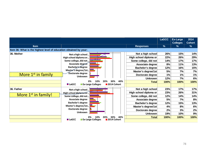|                                                                   |                                                 |                          |                   |                        | <b>LaGCC</b>  | Ex-Large<br><b>Colleges</b> | 2014<br><b>Cohort</b> |
|-------------------------------------------------------------------|-------------------------------------------------|--------------------------|-------------------|------------------------|---------------|-----------------------------|-----------------------|
| <b>Item</b>                                                       |                                                 |                          |                   | <b>Responses</b>       | $\frac{9}{6}$ | %                           | %                     |
| Item 36: What is the highest level of education obtained by your: |                                                 |                          |                   |                        |               |                             |                       |
| 36. Mother                                                        | Not a high school                               |                          |                   | Not a high school      | 26%           | 15%                         | 14%                   |
|                                                                   | High school diploma or                          |                          |                   | High school diploma or | 22%           | 26%                         | 29%                   |
|                                                                   | Some college, did not                           |                          |                   | Some college, did not  | 14%           | 17%                         | 17%                   |
|                                                                   |                                                 | Associate degree®        |                   | Associate degree       | 8%            | 11%                         | 13%                   |
|                                                                   |                                                 | Bachelor's degree        |                   | Bachelor's degree      | 12%           | 16%                         | 15%                   |
| More 1 <sup>st</sup> in family                                    | Master's degree/1st<br>∙**Doctorate degree      |                          |                   | Master's degree/1st    | 5%            | 7%                          | 7%                    |
|                                                                   |                                                 | Unknown                  |                   | Doctorate degree       | 1%            | 1%                          | 1%                    |
|                                                                   |                                                 |                          |                   | <b>Unknown</b>         | 12%           | 7%                          | 6%                    |
|                                                                   |                                                 | 0%                       | 40%<br>30%<br>20% | Total                  | 100%          | 100%                        | 100%                  |
|                                                                   | <b>LaGCC</b>                                    | <b>Ex-Large Colleges</b> | 2014 Cohort       |                        |               |                             |                       |
| 36. Father                                                        |                                                 | Not a high school        |                   | Not a high school      | 23%           | 17%                         | 17%                   |
|                                                                   | High school diploma or<br>Some college, did not |                          |                   | High school diploma or | 23%           | 26%                         | 31%                   |
| More 1 <sup>st</sup> in family!                                   |                                                 |                          |                   | Some college, did not  | 12%           | 14%                         | 14%                   |
|                                                                   |                                                 | Associate degree         |                   | Associate degree       | 5%            | 7%                          | 8%                    |
|                                                                   |                                                 | <b>Bachelor's degree</b> |                   | Bachelor's degree      | 12%           | 15%                         | 13%                   |
|                                                                   | Master's degree/1st                             |                          |                   | Master's degree/1st    | 4%            | 8%                          | 6%                    |
|                                                                   | Doctorate degree                                |                          |                   | Doctorate degree       | 2%            | 3%                          | 2%                    |
|                                                                   |                                                 | <b>Unknown</b>           |                   | <b>Unknown</b>         | 19%           | 10%                         | 9%                    |
|                                                                   |                                                 | 0%                       | 40%<br>30%<br>20% | Total                  | 100%          | 100%                        | 100%                  |
|                                                                   | <b>LaGCC</b>                                    | <b>Ex-Large Colleges</b> | ∎2014 Cohort      |                        |               |                             |                       |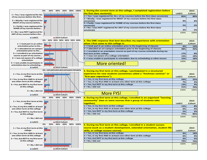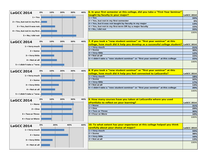| 0%<br><b>LaGCC 2014</b>         | 10% | 20% | 30% | 40% | 6. In your first semester at this college, did you take a "First Year Seminar"        |                   |
|---------------------------------|-----|-----|-----|-----|---------------------------------------------------------------------------------------|-------------------|
|                                 |     |     |     |     | taught by faculty in your major?                                                      | <b>LaGCC 2014</b> |
| $1 = Yes$                       |     |     |     |     | $1 = Yes$                                                                             | 33%               |
| 2 = Yes, but not in my first    |     |     |     |     | $ 2$ = Yes, but not in my first semester                                              | 6%                |
|                                 |     |     |     |     | 3 = Yes, but it was not taught by faculty in my major                                 | 13%               |
| 3 = Yes, but it was not         |     |     |     |     | $4 = Yes$ , but not in my first term OR by a major faculty                            | 15%               |
| $4 = Yes$ , but not in my first |     |     |     |     | $5 = No, I did not$                                                                   | 33%               |
|                                 |     |     |     |     |                                                                                       | 100%              |
| $5 = No, I$ did not             |     |     |     |     |                                                                                       |                   |
| 0%<br><b>LaGCC 2014</b>         | 10% | 20% | 30% | 40% | 7. If you took a "new student seminar" or "first year seminar" at this                |                   |
|                                 |     |     |     |     | college, how much did it help you develop as a successful college student? LaGCC 2014 |                   |
| $1 = Very much$                 |     |     |     |     | $1 = Very much$                                                                       | 21%               |
| $2 = Some$                      |     |     |     |     | $2 = Some$                                                                            | 30%               |
|                                 |     |     |     |     | $3$ = Very little                                                                     | 12%               |
| 3 = Very little                 |     |     |     |     | $4 = Not at all$                                                                      | 15%               |
| $4 = Not at all$                |     |     |     |     | 5 = I didn't take a "new student seminar" or "first year seminar" at this college     | 22%               |
|                                 |     |     |     |     |                                                                                       | 100%              |
| 5 = I didn't take a "new        |     |     |     |     |                                                                                       |                   |
| 0%<br><b>LaGCC 2014</b>         | 10% | 20% | 30% | 40% | 8. If you took a "new student seminar" or "first year seminar" at this                |                   |
|                                 |     |     |     |     | college, how much did it help you feel connected to LaGuardia?                        | <b>LaGCC 2014</b> |
| $1 = Very much$                 |     |     |     |     | $1 = Very much$                                                                       | 18%               |
| $2 = Some$                      |     |     |     |     | $2 = Some$                                                                            | 32%               |
|                                 |     |     |     |     | $3 = Very$ little                                                                     | 17%               |
| $3 = Very$ little               |     |     |     |     | $4 = Not at all$                                                                      | 13%               |
|                                 |     |     |     |     | 5 = I didn't take a "new student seminar" or "first year seminar" at this college     | 20%               |
| $4 = Not at all$                |     |     |     |     |                                                                                       | 100%              |
| 5 = I didn't take a "new        |     |     |     |     |                                                                                       |                   |
| 0%                              | 10% | 20% | 30% | 40% | 9. How many courses have you taken at LaGuardia where you used                        |                   |
| <b>LaGCC 2014</b>               |     |     |     |     | ePortfolio to reflect on your learning?                                               | <b>LaGCC 2014</b> |
| $1 = None$                      |     |     |     |     | $1 = None$                                                                            | 31%               |
| $2 = One$                       |     |     |     |     | $2 = One$                                                                             | 29%               |
|                                 |     |     |     |     | $3 = Two$ or Three                                                                    | 30%               |
| $3 = Two$ or Three              |     |     |     |     | $4 = Four$ or More                                                                    | 10%               |
|                                 |     |     |     |     |                                                                                       | 100%              |
| $4 = Four or More$              |     |     |     |     |                                                                                       |                   |
| 0%<br><b>LaGCC 2014</b>         | 20% |     | 40% | 60% | 10. To what extent has your experience at this college helped you think               |                   |
| $1 = Very much$                 |     |     |     |     | carefully about your choice of major?                                                 | <b>LaGCC 2014</b> |
|                                 |     |     |     |     | $1 = Very much$                                                                       | 33%               |
| $2 = Some$                      |     |     |     |     | $2 = Some$                                                                            | 38%               |
|                                 |     |     |     |     | $3 =$ Very little                                                                     | 16%               |
| 3 = Very little                 |     |     |     |     | $4 = Not at all$                                                                      | 13%               |
|                                 |     |     |     |     |                                                                                       | 100%              |
| $4 = Not at all$                |     |     |     |     |                                                                                       |                   |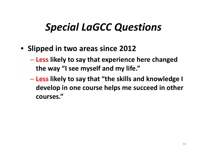## *Special LaGCC Questions*

- **Slipped in two areas since 2012**
	- **Less likely to say that experience here changed the way "I see myself and my life."**
	- $\mathcal{L}_{\mathcal{A}}$  **Less likely to say that "the skills and knowledge I develop in one course helps me succeed in other courses."**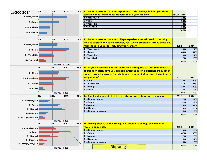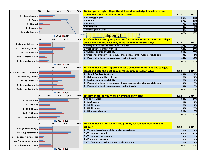